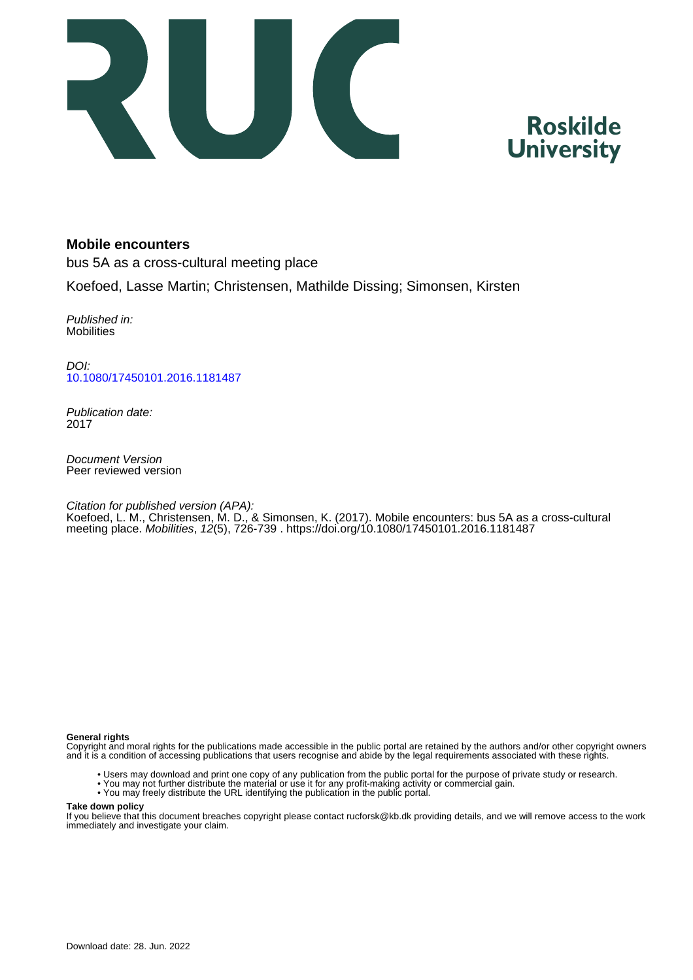

# **Roskilde University**

# **Mobile encounters**

bus 5A as a cross-cultural meeting place

Koefoed, Lasse Martin; Christensen, Mathilde Dissing; Simonsen, Kirsten

Published in: **Mobilities** 

DOI: [10.1080/17450101.2016.1181487](https://doi.org/10.1080/17450101.2016.1181487)

Publication date: 2017

Document Version Peer reviewed version

Citation for published version (APA): Koefoed, L. M., Christensen, M. D., & Simonsen, K. (2017). Mobile encounters: bus 5A as a cross-cultural meeting place. Mobilities, 12(5), 726-739 . <https://doi.org/10.1080/17450101.2016.1181487>

#### **General rights**

Copyright and moral rights for the publications made accessible in the public portal are retained by the authors and/or other copyright owners and it is a condition of accessing publications that users recognise and abide by the legal requirements associated with these rights.

- Users may download and print one copy of any publication from the public portal for the purpose of private study or research.
- You may not further distribute the material or use it for any profit-making activity or commercial gain.
- You may freely distribute the URL identifying the publication in the public portal.

#### **Take down policy**

If you believe that this document breaches copyright please contact rucforsk@kb.dk providing details, and we will remove access to the work immediately and investigate your claim.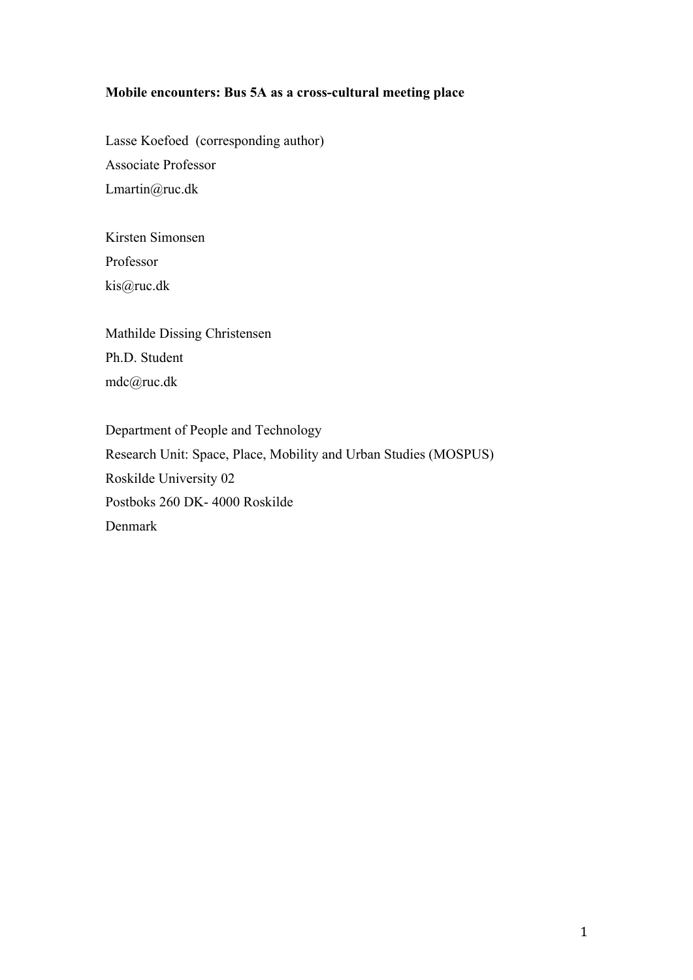# **Mobile encounters: Bus 5A as a cross-cultural meeting place**

Lasse Koefoed (corresponding author) Associate Professor Lmartin@ruc.dk

Kirsten Simonsen Professor kis@ruc.dk

Mathilde Dissing Christensen Ph.D. Student mdc@ruc.dk

Department of People and Technology Research Unit: Space, Place, Mobility and Urban Studies (MOSPUS) Roskilde University 02 Postboks 260 DK- 4000 Roskilde Denmark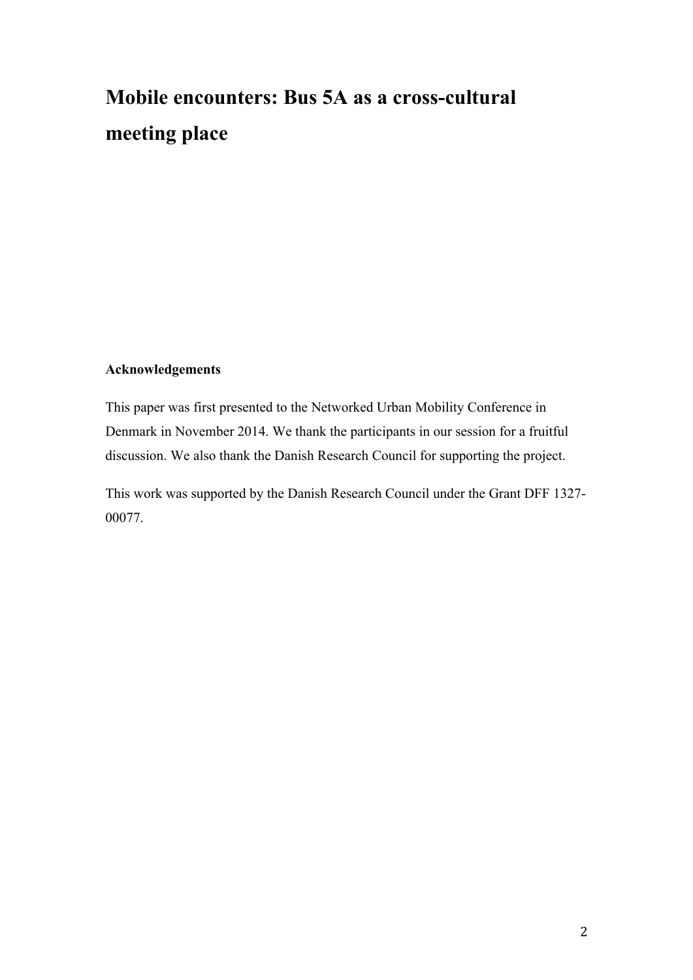# **Mobile encounters: Bus 5A as a cross-cultural meeting place**

# **Acknowledgements**

This paper was first presented to the Networked Urban Mobility Conference in Denmark in November 2014. We thank the participants in our session for a fruitful discussion. We also thank the Danish Research Council for supporting the project.

This work was supported by the Danish Research Council under the Grant DFF 1327- 00077.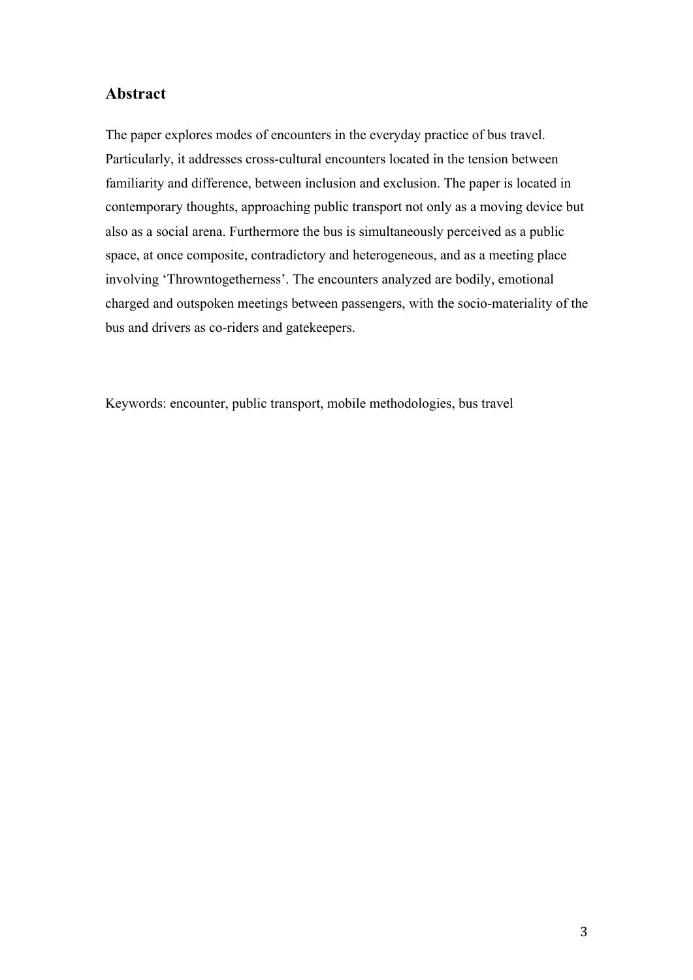# **Abstract**

The paper explores modes of encounters in the everyday practice of bus travel. Particularly, it addresses cross-cultural encounters located in the tension between familiarity and difference, between inclusion and exclusion. The paper is located in contemporary thoughts, approaching public transport not only as a moving device but also as a social arena. Furthermore the bus is simultaneously perceived as a public space, at once composite, contradictory and heterogeneous, and as a meeting place involving 'Throwntogetherness'. The encounters analyzed are bodily, emotional charged and outspoken meetings between passengers, with the socio-materiality of the bus and drivers as co-riders and gatekeepers.

Keywords: encounter, public transport, mobile methodologies, bus travel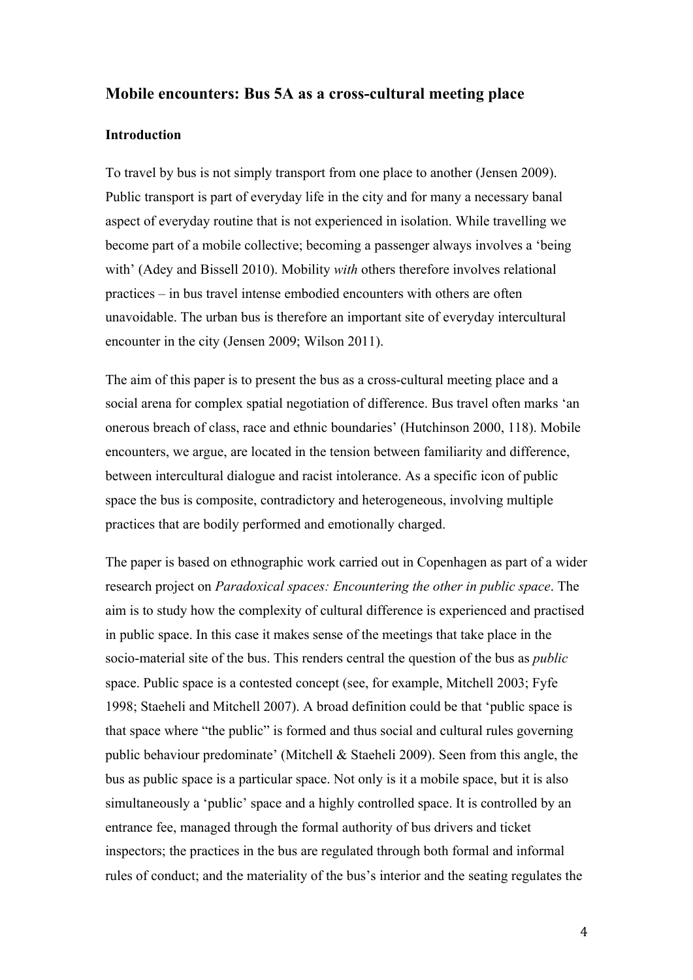# **Mobile encounters: Bus 5A as a cross-cultural meeting place**

# **Introduction**

To travel by bus is not simply transport from one place to another (Jensen 2009). Public transport is part of everyday life in the city and for many a necessary banal aspect of everyday routine that is not experienced in isolation. While travelling we become part of a mobile collective; becoming a passenger always involves a 'being with' (Adey and Bissell 2010). Mobility *with* others therefore involves relational practices – in bus travel intense embodied encounters with others are often unavoidable. The urban bus is therefore an important site of everyday intercultural encounter in the city (Jensen 2009; Wilson 2011).

The aim of this paper is to present the bus as a cross-cultural meeting place and a social arena for complex spatial negotiation of difference. Bus travel often marks 'an onerous breach of class, race and ethnic boundaries' (Hutchinson 2000, 118). Mobile encounters, we argue, are located in the tension between familiarity and difference, between intercultural dialogue and racist intolerance. As a specific icon of public space the bus is composite, contradictory and heterogeneous, involving multiple practices that are bodily performed and emotionally charged.

The paper is based on ethnographic work carried out in Copenhagen as part of a wider research project on *Paradoxical spaces: Encountering the other in public space*. The aim is to study how the complexity of cultural difference is experienced and practised in public space. In this case it makes sense of the meetings that take place in the socio-material site of the bus. This renders central the question of the bus as *public* space. Public space is a contested concept (see, for example, Mitchell 2003; Fyfe 1998; Staeheli and Mitchell 2007). A broad definition could be that 'public space is that space where "the public" is formed and thus social and cultural rules governing public behaviour predominate' (Mitchell & Staeheli 2009). Seen from this angle, the bus as public space is a particular space. Not only is it a mobile space, but it is also simultaneously a 'public' space and a highly controlled space. It is controlled by an entrance fee, managed through the formal authority of bus drivers and ticket inspectors; the practices in the bus are regulated through both formal and informal rules of conduct; and the materiality of the bus's interior and the seating regulates the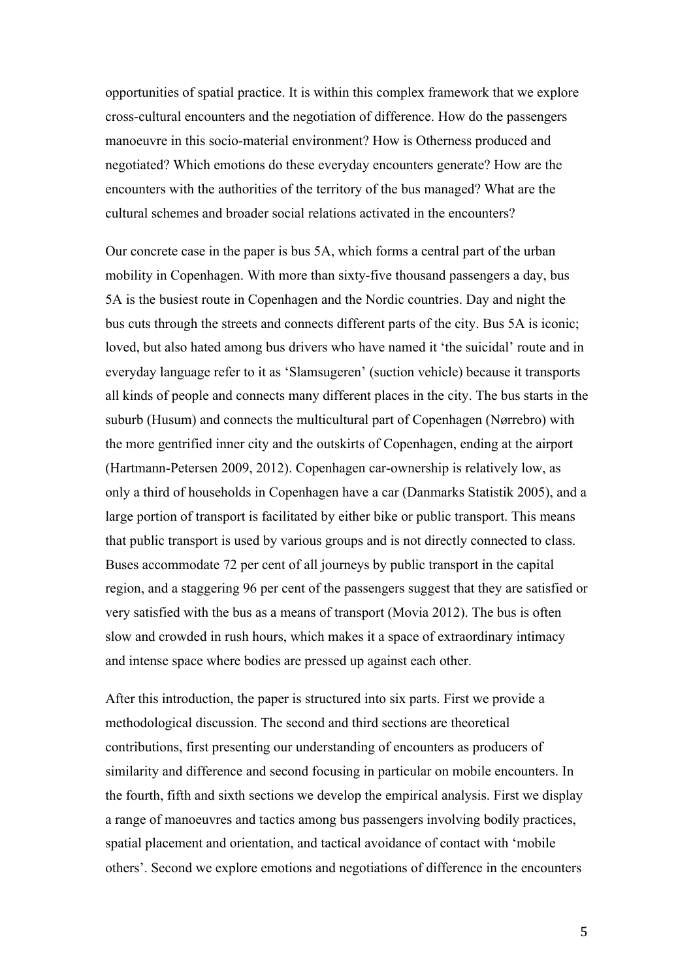opportunities of spatial practice. It is within this complex framework that we explore cross-cultural encounters and the negotiation of difference. How do the passengers manoeuvre in this socio-material environment? How is Otherness produced and negotiated? Which emotions do these everyday encounters generate? How are the encounters with the authorities of the territory of the bus managed? What are the cultural schemes and broader social relations activated in the encounters?

Our concrete case in the paper is bus 5A, which forms a central part of the urban mobility in Copenhagen. With more than sixty-five thousand passengers a day, bus 5A is the busiest route in Copenhagen and the Nordic countries. Day and night the bus cuts through the streets and connects different parts of the city. Bus 5A is iconic; loved, but also hated among bus drivers who have named it 'the suicidal' route and in everyday language refer to it as 'Slamsugeren' (suction vehicle) because it transports all kinds of people and connects many different places in the city. The bus starts in the suburb (Husum) and connects the multicultural part of Copenhagen (Nørrebro) with the more gentrified inner city and the outskirts of Copenhagen, ending at the airport (Hartmann-Petersen 2009, 2012). Copenhagen car-ownership is relatively low, as only a third of households in Copenhagen have a car (Danmarks Statistik 2005), and a large portion of transport is facilitated by either bike or public transport. This means that public transport is used by various groups and is not directly connected to class. Buses accommodate 72 per cent of all journeys by public transport in the capital region, and a staggering 96 per cent of the passengers suggest that they are satisfied or very satisfied with the bus as a means of transport (Movia 2012). The bus is often slow and crowded in rush hours, which makes it a space of extraordinary intimacy and intense space where bodies are pressed up against each other.

After this introduction, the paper is structured into six parts. First we provide a methodological discussion. The second and third sections are theoretical contributions, first presenting our understanding of encounters as producers of similarity and difference and second focusing in particular on mobile encounters. In the fourth, fifth and sixth sections we develop the empirical analysis. First we display a range of manoeuvres and tactics among bus passengers involving bodily practices, spatial placement and orientation, and tactical avoidance of contact with 'mobile others'. Second we explore emotions and negotiations of difference in the encounters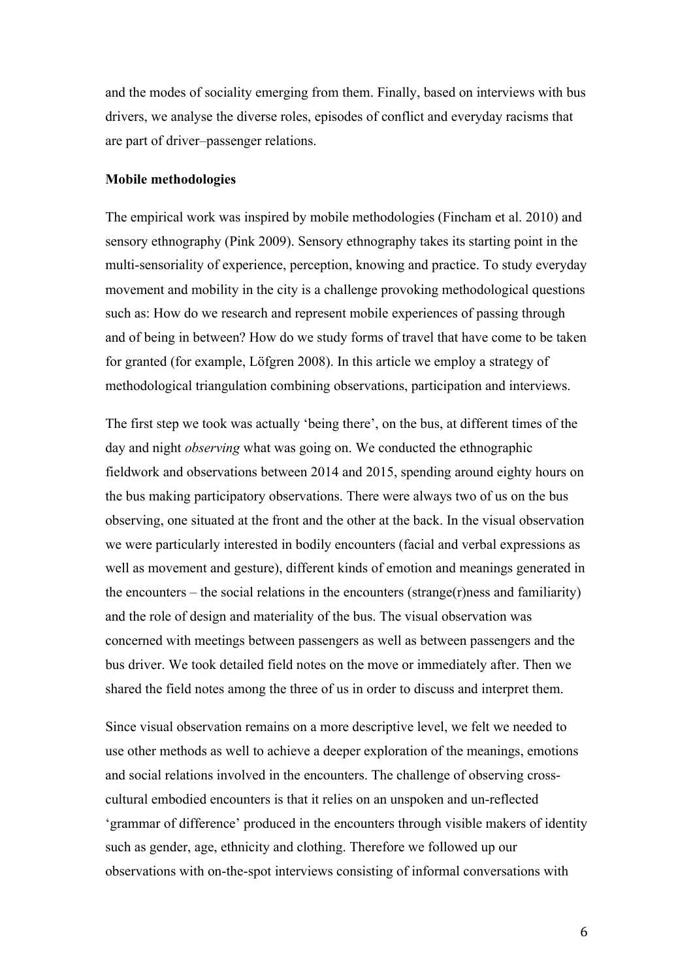and the modes of sociality emerging from them. Finally, based on interviews with bus drivers, we analyse the diverse roles, episodes of conflict and everyday racisms that are part of driver–passenger relations.

## **Mobile methodologies**

The empirical work was inspired by mobile methodologies (Fincham et al. 2010) and sensory ethnography (Pink 2009). Sensory ethnography takes its starting point in the multi-sensoriality of experience, perception, knowing and practice. To study everyday movement and mobility in the city is a challenge provoking methodological questions such as: How do we research and represent mobile experiences of passing through and of being in between? How do we study forms of travel that have come to be taken for granted (for example, Löfgren 2008). In this article we employ a strategy of methodological triangulation combining observations, participation and interviews.

The first step we took was actually 'being there', on the bus, at different times of the day and night *observing* what was going on. We conducted the ethnographic fieldwork and observations between 2014 and 2015, spending around eighty hours on the bus making participatory observations. There were always two of us on the bus observing, one situated at the front and the other at the back. In the visual observation we were particularly interested in bodily encounters (facial and verbal expressions as well as movement and gesture), different kinds of emotion and meanings generated in the encounters – the social relations in the encounters (strange(r)ness and familiarity) and the role of design and materiality of the bus. The visual observation was concerned with meetings between passengers as well as between passengers and the bus driver. We took detailed field notes on the move or immediately after. Then we shared the field notes among the three of us in order to discuss and interpret them.

Since visual observation remains on a more descriptive level, we felt we needed to use other methods as well to achieve a deeper exploration of the meanings, emotions and social relations involved in the encounters. The challenge of observing crosscultural embodied encounters is that it relies on an unspoken and un-reflected 'grammar of difference' produced in the encounters through visible makers of identity such as gender, age, ethnicity and clothing. Therefore we followed up our observations with on-the-spot interviews consisting of informal conversations with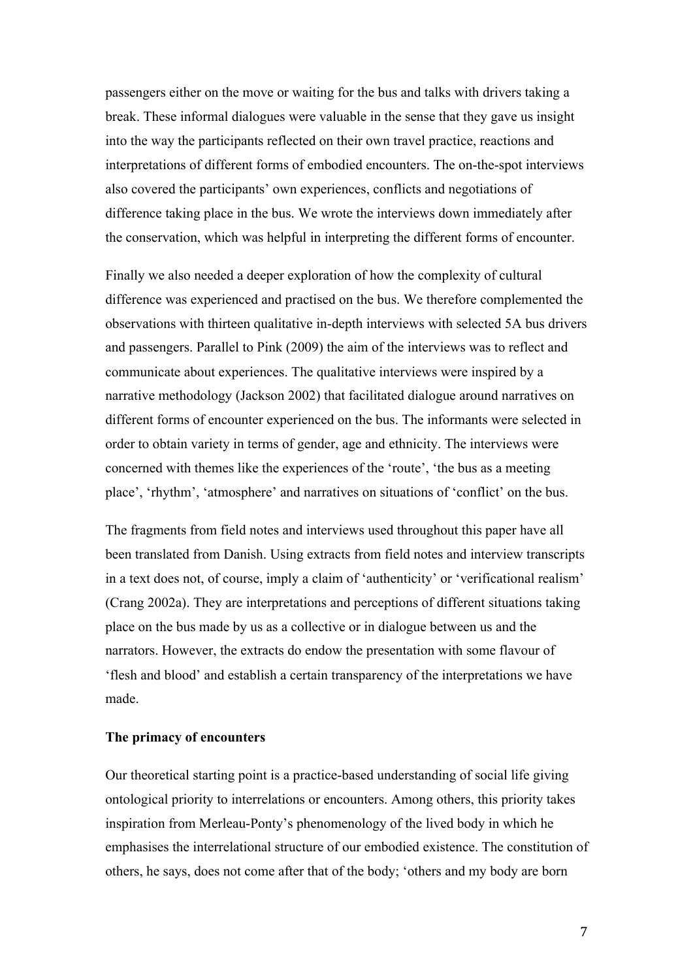passengers either on the move or waiting for the bus and talks with drivers taking a break. These informal dialogues were valuable in the sense that they gave us insight into the way the participants reflected on their own travel practice, reactions and interpretations of different forms of embodied encounters. The on-the-spot interviews also covered the participants' own experiences, conflicts and negotiations of difference taking place in the bus. We wrote the interviews down immediately after the conservation, which was helpful in interpreting the different forms of encounter.

Finally we also needed a deeper exploration of how the complexity of cultural difference was experienced and practised on the bus. We therefore complemented the observations with thirteen qualitative in-depth interviews with selected 5A bus drivers and passengers. Parallel to Pink (2009) the aim of the interviews was to reflect and communicate about experiences. The qualitative interviews were inspired by a narrative methodology (Jackson 2002) that facilitated dialogue around narratives on different forms of encounter experienced on the bus. The informants were selected in order to obtain variety in terms of gender, age and ethnicity. The interviews were concerned with themes like the experiences of the 'route', 'the bus as a meeting place', 'rhythm', 'atmosphere' and narratives on situations of 'conflict' on the bus.

The fragments from field notes and interviews used throughout this paper have all been translated from Danish. Using extracts from field notes and interview transcripts in a text does not, of course, imply a claim of 'authenticity' or 'verificational realism' (Crang 2002a). They are interpretations and perceptions of different situations taking place on the bus made by us as a collective or in dialogue between us and the narrators. However, the extracts do endow the presentation with some flavour of 'flesh and blood' and establish a certain transparency of the interpretations we have made.

# **The primacy of encounters**

Our theoretical starting point is a practice-based understanding of social life giving ontological priority to interrelations or encounters. Among others, this priority takes inspiration from Merleau-Ponty's phenomenology of the lived body in which he emphasises the interrelational structure of our embodied existence. The constitution of others, he says, does not come after that of the body; 'others and my body are born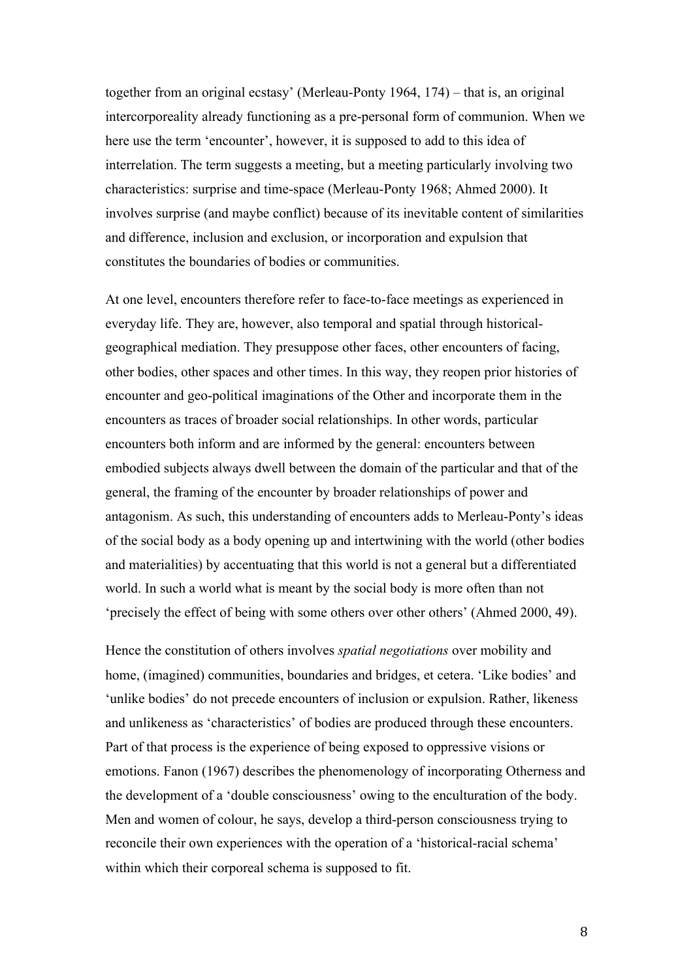together from an original ecstasy' (Merleau-Ponty 1964, 174) – that is, an original intercorporeality already functioning as a pre-personal form of communion. When we here use the term 'encounter', however, it is supposed to add to this idea of interrelation. The term suggests a meeting, but a meeting particularly involving two characteristics: surprise and time-space (Merleau-Ponty 1968; Ahmed 2000). It involves surprise (and maybe conflict) because of its inevitable content of similarities and difference, inclusion and exclusion, or incorporation and expulsion that constitutes the boundaries of bodies or communities.

At one level, encounters therefore refer to face-to-face meetings as experienced in everyday life. They are, however, also temporal and spatial through historicalgeographical mediation. They presuppose other faces, other encounters of facing, other bodies, other spaces and other times. In this way, they reopen prior histories of encounter and geo-political imaginations of the Other and incorporate them in the encounters as traces of broader social relationships. In other words, particular encounters both inform and are informed by the general: encounters between embodied subjects always dwell between the domain of the particular and that of the general, the framing of the encounter by broader relationships of power and antagonism. As such, this understanding of encounters adds to Merleau-Ponty's ideas of the social body as a body opening up and intertwining with the world (other bodies and materialities) by accentuating that this world is not a general but a differentiated world. In such a world what is meant by the social body is more often than not 'precisely the effect of being with some others over other others' (Ahmed 2000, 49).

Hence the constitution of others involves *spatial negotiations* over mobility and home, (imagined) communities, boundaries and bridges, et cetera. 'Like bodies' and 'unlike bodies' do not precede encounters of inclusion or expulsion. Rather, likeness and unlikeness as 'characteristics' of bodies are produced through these encounters. Part of that process is the experience of being exposed to oppressive visions or emotions. Fanon (1967) describes the phenomenology of incorporating Otherness and the development of a 'double consciousness' owing to the enculturation of the body. Men and women of colour, he says, develop a third-person consciousness trying to reconcile their own experiences with the operation of a 'historical-racial schema' within which their corporeal schema is supposed to fit.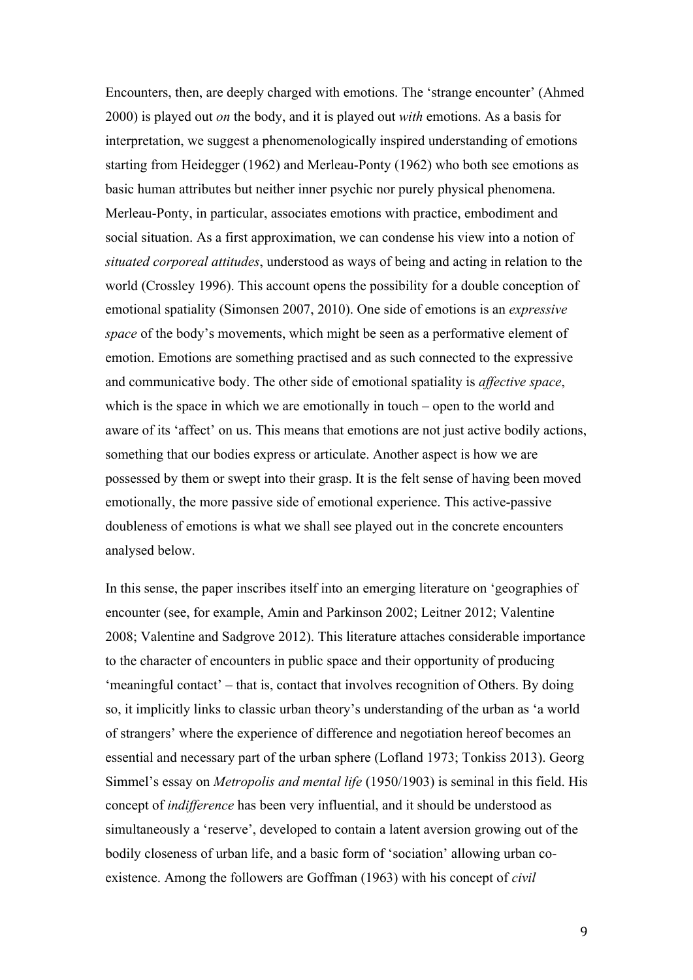Encounters, then, are deeply charged with emotions. The 'strange encounter' (Ahmed 2000) is played out *on* the body, and it is played out *with* emotions. As a basis for interpretation, we suggest a phenomenologically inspired understanding of emotions starting from Heidegger (1962) and Merleau-Ponty (1962) who both see emotions as basic human attributes but neither inner psychic nor purely physical phenomena. Merleau-Ponty, in particular, associates emotions with practice, embodiment and social situation. As a first approximation, we can condense his view into a notion of *situated corporeal attitudes*, understood as ways of being and acting in relation to the world (Crossley 1996). This account opens the possibility for a double conception of emotional spatiality (Simonsen 2007, 2010). One side of emotions is an *expressive space* of the body's movements, which might be seen as a performative element of emotion. Emotions are something practised and as such connected to the expressive and communicative body. The other side of emotional spatiality is *affective space*, which is the space in which we are emotionally in touch – open to the world and aware of its 'affect' on us. This means that emotions are not just active bodily actions, something that our bodies express or articulate. Another aspect is how we are possessed by them or swept into their grasp. It is the felt sense of having been moved emotionally, the more passive side of emotional experience. This active-passive doubleness of emotions is what we shall see played out in the concrete encounters analysed below.

In this sense, the paper inscribes itself into an emerging literature on 'geographies of encounter (see, for example, Amin and Parkinson 2002; Leitner 2012; Valentine 2008; Valentine and Sadgrove 2012). This literature attaches considerable importance to the character of encounters in public space and their opportunity of producing 'meaningful contact' – that is, contact that involves recognition of Others. By doing so, it implicitly links to classic urban theory's understanding of the urban as 'a world of strangers' where the experience of difference and negotiation hereof becomes an essential and necessary part of the urban sphere (Lofland 1973; Tonkiss 2013). Georg Simmel's essay on *Metropolis and mental life* (1950/1903) is seminal in this field. His concept of *indifference* has been very influential, and it should be understood as simultaneously a 'reserve', developed to contain a latent aversion growing out of the bodily closeness of urban life, and a basic form of 'sociation' allowing urban coexistence. Among the followers are Goffman (1963) with his concept of *civil*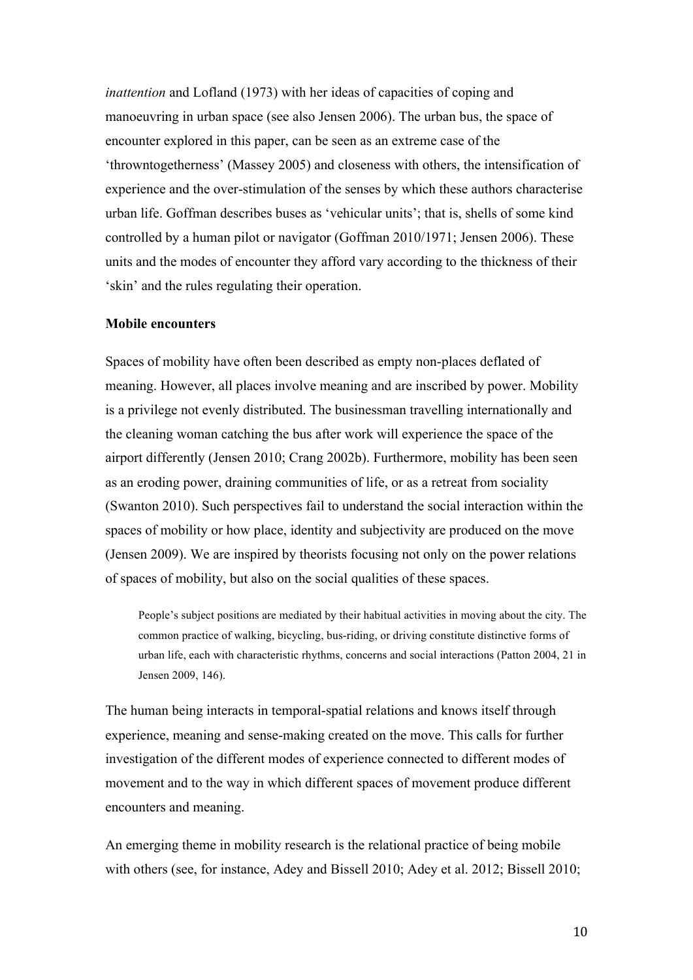*inattention* and Lofland (1973) with her ideas of capacities of coping and manoeuvring in urban space (see also Jensen 2006). The urban bus, the space of encounter explored in this paper, can be seen as an extreme case of the 'throwntogetherness' (Massey 2005) and closeness with others, the intensification of experience and the over-stimulation of the senses by which these authors characterise urban life. Goffman describes buses as 'vehicular units'; that is, shells of some kind controlled by a human pilot or navigator (Goffman 2010/1971; Jensen 2006). These units and the modes of encounter they afford vary according to the thickness of their 'skin' and the rules regulating their operation.

## **Mobile encounters**

Spaces of mobility have often been described as empty non-places deflated of meaning. However, all places involve meaning and are inscribed by power. Mobility is a privilege not evenly distributed. The businessman travelling internationally and the cleaning woman catching the bus after work will experience the space of the airport differently (Jensen 2010; Crang 2002b). Furthermore, mobility has been seen as an eroding power, draining communities of life, or as a retreat from sociality (Swanton 2010). Such perspectives fail to understand the social interaction within the spaces of mobility or how place, identity and subjectivity are produced on the move (Jensen 2009). We are inspired by theorists focusing not only on the power relations of spaces of mobility, but also on the social qualities of these spaces.

People's subject positions are mediated by their habitual activities in moving about the city. The common practice of walking, bicycling, bus-riding, or driving constitute distinctive forms of urban life, each with characteristic rhythms, concerns and social interactions (Patton 2004, 21 in Jensen 2009, 146).

The human being interacts in temporal-spatial relations and knows itself through experience, meaning and sense-making created on the move. This calls for further investigation of the different modes of experience connected to different modes of movement and to the way in which different spaces of movement produce different encounters and meaning.

An emerging theme in mobility research is the relational practice of being mobile with others (see, for instance, Adey and Bissell 2010; Adey et al. 2012; Bissell 2010;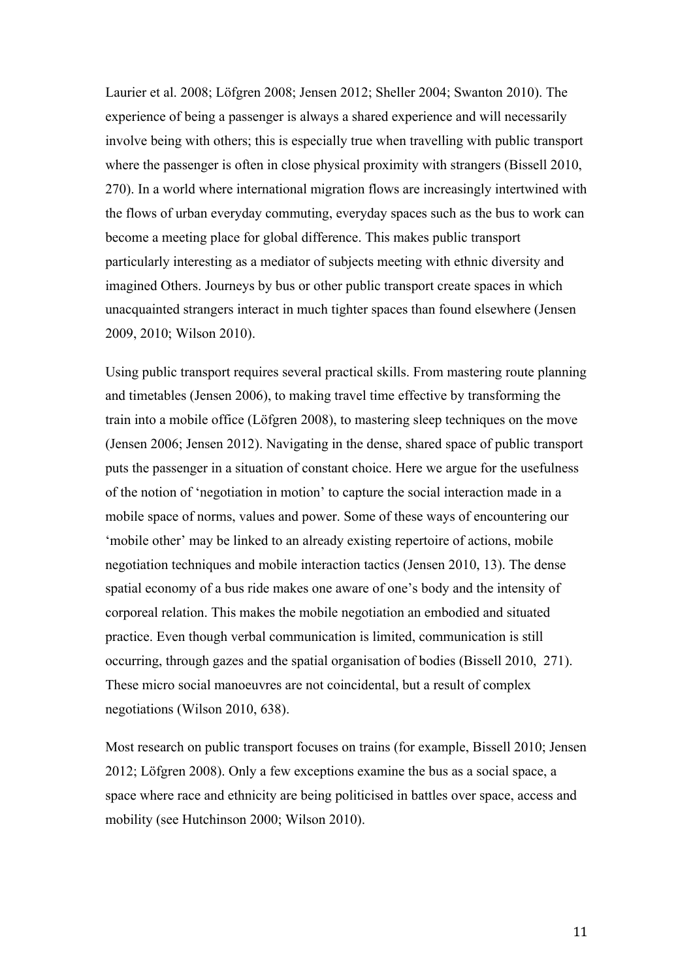Laurier et al. 2008; Löfgren 2008; Jensen 2012; Sheller 2004; Swanton 2010). The experience of being a passenger is always a shared experience and will necessarily involve being with others; this is especially true when travelling with public transport where the passenger is often in close physical proximity with strangers (Bissell 2010, 270). In a world where international migration flows are increasingly intertwined with the flows of urban everyday commuting, everyday spaces such as the bus to work can become a meeting place for global difference. This makes public transport particularly interesting as a mediator of subjects meeting with ethnic diversity and imagined Others. Journeys by bus or other public transport create spaces in which unacquainted strangers interact in much tighter spaces than found elsewhere (Jensen 2009, 2010; Wilson 2010).

Using public transport requires several practical skills. From mastering route planning and timetables (Jensen 2006), to making travel time effective by transforming the train into a mobile office (Löfgren 2008), to mastering sleep techniques on the move (Jensen 2006; Jensen 2012). Navigating in the dense, shared space of public transport puts the passenger in a situation of constant choice. Here we argue for the usefulness of the notion of 'negotiation in motion' to capture the social interaction made in a mobile space of norms, values and power. Some of these ways of encountering our 'mobile other' may be linked to an already existing repertoire of actions, mobile negotiation techniques and mobile interaction tactics (Jensen 2010, 13). The dense spatial economy of a bus ride makes one aware of one's body and the intensity of corporeal relation. This makes the mobile negotiation an embodied and situated practice. Even though verbal communication is limited, communication is still occurring, through gazes and the spatial organisation of bodies (Bissell 2010, 271). These micro social manoeuvres are not coincidental, but a result of complex negotiations (Wilson 2010, 638).

Most research on public transport focuses on trains (for example, Bissell 2010; Jensen 2012; Löfgren 2008). Only a few exceptions examine the bus as a social space, a space where race and ethnicity are being politicised in battles over space, access and mobility (see Hutchinson 2000; Wilson 2010).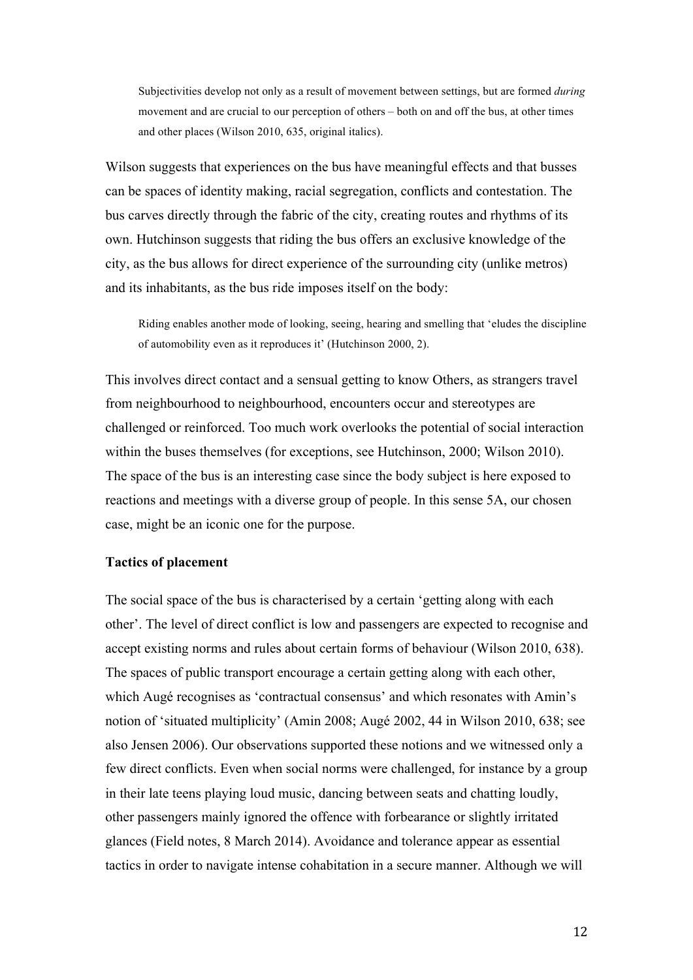Subjectivities develop not only as a result of movement between settings, but are formed *during*  movement and are crucial to our perception of others – both on and off the bus, at other times and other places (Wilson 2010, 635, original italics).

Wilson suggests that experiences on the bus have meaningful effects and that busses can be spaces of identity making, racial segregation, conflicts and contestation. The bus carves directly through the fabric of the city, creating routes and rhythms of its own. Hutchinson suggests that riding the bus offers an exclusive knowledge of the city, as the bus allows for direct experience of the surrounding city (unlike metros) and its inhabitants, as the bus ride imposes itself on the body:

Riding enables another mode of looking, seeing, hearing and smelling that 'eludes the discipline of automobility even as it reproduces it' (Hutchinson 2000, 2).

This involves direct contact and a sensual getting to know Others, as strangers travel from neighbourhood to neighbourhood, encounters occur and stereotypes are challenged or reinforced. Too much work overlooks the potential of social interaction within the buses themselves (for exceptions, see Hutchinson, 2000; Wilson 2010). The space of the bus is an interesting case since the body subject is here exposed to reactions and meetings with a diverse group of people. In this sense 5A, our chosen case, might be an iconic one for the purpose.

# **Tactics of placement**

The social space of the bus is characterised by a certain 'getting along with each other'. The level of direct conflict is low and passengers are expected to recognise and accept existing norms and rules about certain forms of behaviour (Wilson 2010, 638). The spaces of public transport encourage a certain getting along with each other, which Augé recognises as 'contractual consensus' and which resonates with Amin's notion of 'situated multiplicity' (Amin 2008; Augé 2002, 44 in Wilson 2010, 638; see also Jensen 2006). Our observations supported these notions and we witnessed only a few direct conflicts. Even when social norms were challenged, for instance by a group in their late teens playing loud music, dancing between seats and chatting loudly, other passengers mainly ignored the offence with forbearance or slightly irritated glances (Field notes, 8 March 2014). Avoidance and tolerance appear as essential tactics in order to navigate intense cohabitation in a secure manner. Although we will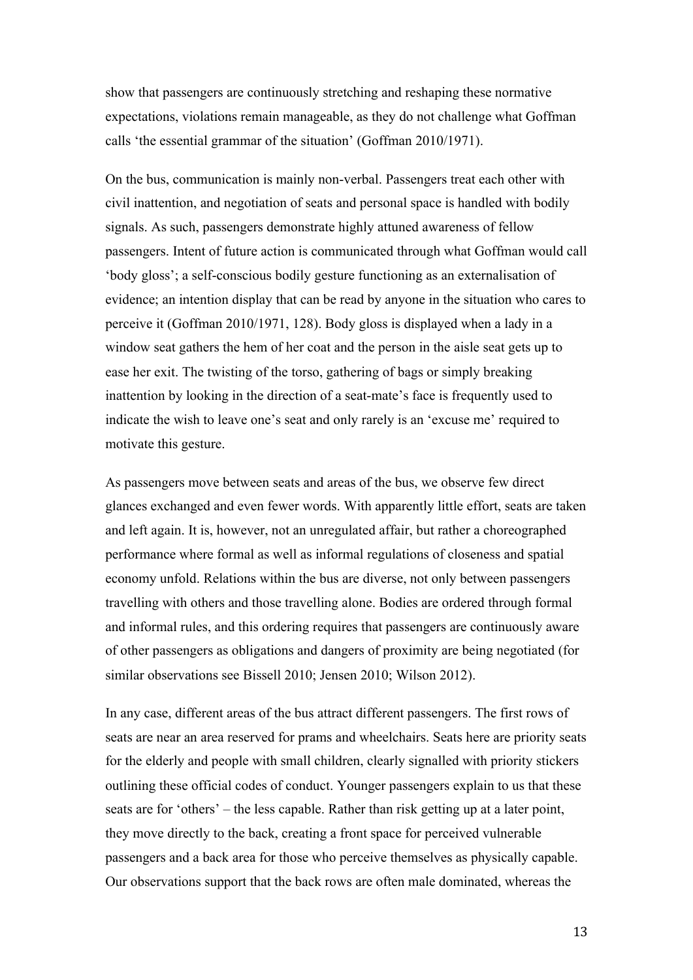show that passengers are continuously stretching and reshaping these normative expectations, violations remain manageable, as they do not challenge what Goffman calls 'the essential grammar of the situation' (Goffman 2010/1971).

On the bus, communication is mainly non-verbal. Passengers treat each other with civil inattention, and negotiation of seats and personal space is handled with bodily signals. As such, passengers demonstrate highly attuned awareness of fellow passengers. Intent of future action is communicated through what Goffman would call 'body gloss'; a self-conscious bodily gesture functioning as an externalisation of evidence; an intention display that can be read by anyone in the situation who cares to perceive it (Goffman 2010/1971, 128). Body gloss is displayed when a lady in a window seat gathers the hem of her coat and the person in the aisle seat gets up to ease her exit. The twisting of the torso, gathering of bags or simply breaking inattention by looking in the direction of a seat-mate's face is frequently used to indicate the wish to leave one's seat and only rarely is an 'excuse me' required to motivate this gesture.

As passengers move between seats and areas of the bus, we observe few direct glances exchanged and even fewer words. With apparently little effort, seats are taken and left again. It is, however, not an unregulated affair, but rather a choreographed performance where formal as well as informal regulations of closeness and spatial economy unfold. Relations within the bus are diverse, not only between passengers travelling with others and those travelling alone. Bodies are ordered through formal and informal rules, and this ordering requires that passengers are continuously aware of other passengers as obligations and dangers of proximity are being negotiated (for similar observations see Bissell 2010; Jensen 2010; Wilson 2012).

In any case, different areas of the bus attract different passengers. The first rows of seats are near an area reserved for prams and wheelchairs. Seats here are priority seats for the elderly and people with small children, clearly signalled with priority stickers outlining these official codes of conduct. Younger passengers explain to us that these seats are for 'others' – the less capable. Rather than risk getting up at a later point, they move directly to the back, creating a front space for perceived vulnerable passengers and a back area for those who perceive themselves as physically capable. Our observations support that the back rows are often male dominated, whereas the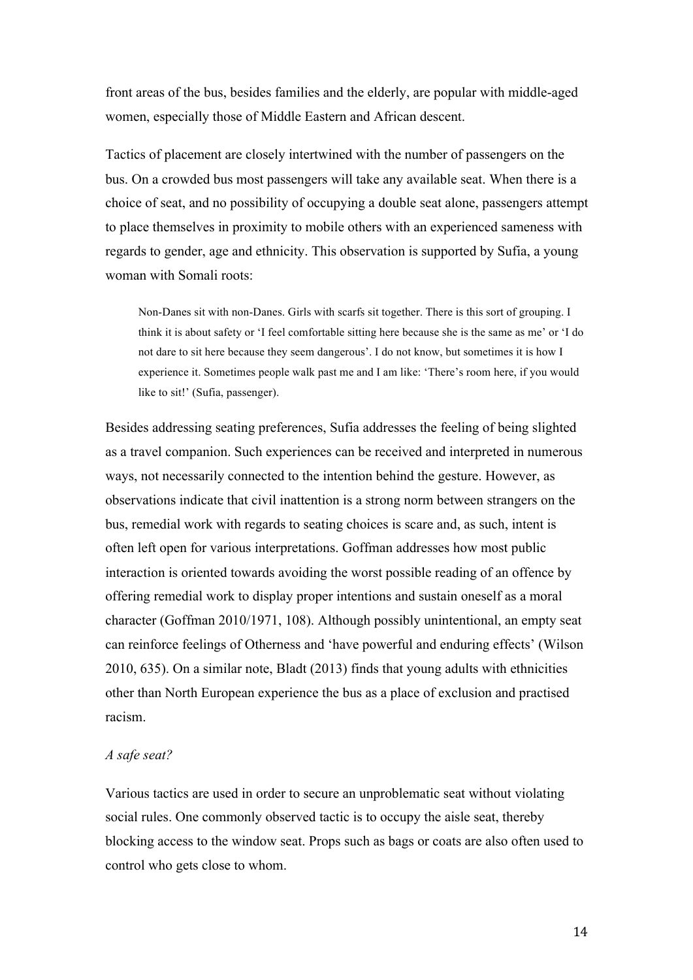front areas of the bus, besides families and the elderly, are popular with middle-aged women, especially those of Middle Eastern and African descent.

Tactics of placement are closely intertwined with the number of passengers on the bus. On a crowded bus most passengers will take any available seat. When there is a choice of seat, and no possibility of occupying a double seat alone, passengers attempt to place themselves in proximity to mobile others with an experienced sameness with regards to gender, age and ethnicity. This observation is supported by Sufia, a young woman with Somali roots:

Non-Danes sit with non-Danes. Girls with scarfs sit together. There is this sort of grouping. I think it is about safety or 'I feel comfortable sitting here because she is the same as me' or 'I do not dare to sit here because they seem dangerous'. I do not know, but sometimes it is how I experience it. Sometimes people walk past me and I am like: 'There's room here, if you would like to sit!' (Sufia, passenger).

Besides addressing seating preferences, Sufia addresses the feeling of being slighted as a travel companion. Such experiences can be received and interpreted in numerous ways, not necessarily connected to the intention behind the gesture. However, as observations indicate that civil inattention is a strong norm between strangers on the bus, remedial work with regards to seating choices is scare and, as such, intent is often left open for various interpretations. Goffman addresses how most public interaction is oriented towards avoiding the worst possible reading of an offence by offering remedial work to display proper intentions and sustain oneself as a moral character (Goffman 2010/1971, 108). Although possibly unintentional, an empty seat can reinforce feelings of Otherness and 'have powerful and enduring effects' (Wilson 2010, 635). On a similar note, Bladt (2013) finds that young adults with ethnicities other than North European experience the bus as a place of exclusion and practised racism.

# *A safe seat?*

Various tactics are used in order to secure an unproblematic seat without violating social rules. One commonly observed tactic is to occupy the aisle seat, thereby blocking access to the window seat. Props such as bags or coats are also often used to control who gets close to whom.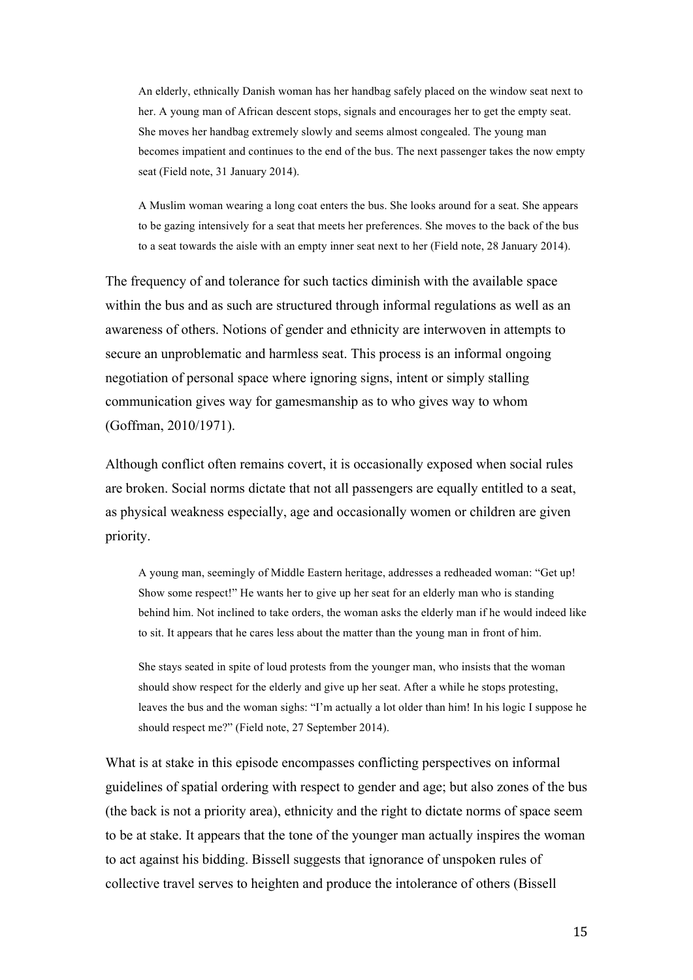An elderly, ethnically Danish woman has her handbag safely placed on the window seat next to her. A young man of African descent stops, signals and encourages her to get the empty seat. She moves her handbag extremely slowly and seems almost congealed. The young man becomes impatient and continues to the end of the bus. The next passenger takes the now empty seat (Field note, 31 January 2014).

A Muslim woman wearing a long coat enters the bus. She looks around for a seat. She appears to be gazing intensively for a seat that meets her preferences. She moves to the back of the bus to a seat towards the aisle with an empty inner seat next to her (Field note, 28 January 2014).

The frequency of and tolerance for such tactics diminish with the available space within the bus and as such are structured through informal regulations as well as an awareness of others. Notions of gender and ethnicity are interwoven in attempts to secure an unproblematic and harmless seat. This process is an informal ongoing negotiation of personal space where ignoring signs, intent or simply stalling communication gives way for gamesmanship as to who gives way to whom (Goffman, 2010/1971).

Although conflict often remains covert, it is occasionally exposed when social rules are broken. Social norms dictate that not all passengers are equally entitled to a seat, as physical weakness especially, age and occasionally women or children are given priority.

A young man, seemingly of Middle Eastern heritage, addresses a redheaded woman: "Get up! Show some respect!" He wants her to give up her seat for an elderly man who is standing behind him. Not inclined to take orders, the woman asks the elderly man if he would indeed like to sit. It appears that he cares less about the matter than the young man in front of him.

She stays seated in spite of loud protests from the younger man, who insists that the woman should show respect for the elderly and give up her seat. After a while he stops protesting, leaves the bus and the woman sighs: "I'm actually a lot older than him! In his logic I suppose he should respect me?" (Field note, 27 September 2014).

What is at stake in this episode encompasses conflicting perspectives on informal guidelines of spatial ordering with respect to gender and age; but also zones of the bus (the back is not a priority area), ethnicity and the right to dictate norms of space seem to be at stake. It appears that the tone of the younger man actually inspires the woman to act against his bidding. Bissell suggests that ignorance of unspoken rules of collective travel serves to heighten and produce the intolerance of others (Bissell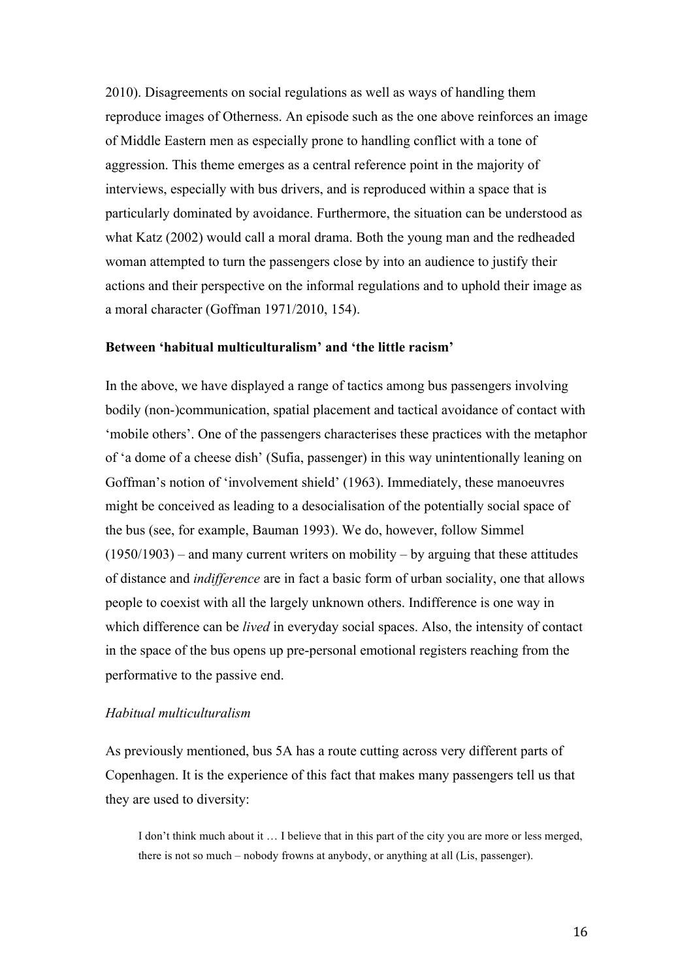2010). Disagreements on social regulations as well as ways of handling them reproduce images of Otherness. An episode such as the one above reinforces an image of Middle Eastern men as especially prone to handling conflict with a tone of aggression. This theme emerges as a central reference point in the majority of interviews, especially with bus drivers, and is reproduced within a space that is particularly dominated by avoidance. Furthermore, the situation can be understood as what Katz (2002) would call a moral drama. Both the young man and the redheaded woman attempted to turn the passengers close by into an audience to justify their actions and their perspective on the informal regulations and to uphold their image as a moral character (Goffman 1971/2010, 154).

# **Between 'habitual multiculturalism' and 'the little racism'**

In the above, we have displayed a range of tactics among bus passengers involving bodily (non-)communication, spatial placement and tactical avoidance of contact with 'mobile others'. One of the passengers characterises these practices with the metaphor of 'a dome of a cheese dish' (Sufia, passenger) in this way unintentionally leaning on Goffman's notion of 'involvement shield' (1963). Immediately, these manoeuvres might be conceived as leading to a desocialisation of the potentially social space of the bus (see, for example, Bauman 1993). We do, however, follow Simmel  $(1950/1903)$  – and many current writers on mobility – by arguing that these attitudes of distance and *indifference* are in fact a basic form of urban sociality, one that allows people to coexist with all the largely unknown others. Indifference is one way in which difference can be *lived* in everyday social spaces. Also, the intensity of contact in the space of the bus opens up pre-personal emotional registers reaching from the performative to the passive end.

# *Habitual multiculturalism*

As previously mentioned, bus 5A has a route cutting across very different parts of Copenhagen. It is the experience of this fact that makes many passengers tell us that they are used to diversity:

I don't think much about it … I believe that in this part of the city you are more or less merged, there is not so much – nobody frowns at anybody, or anything at all (Lis, passenger).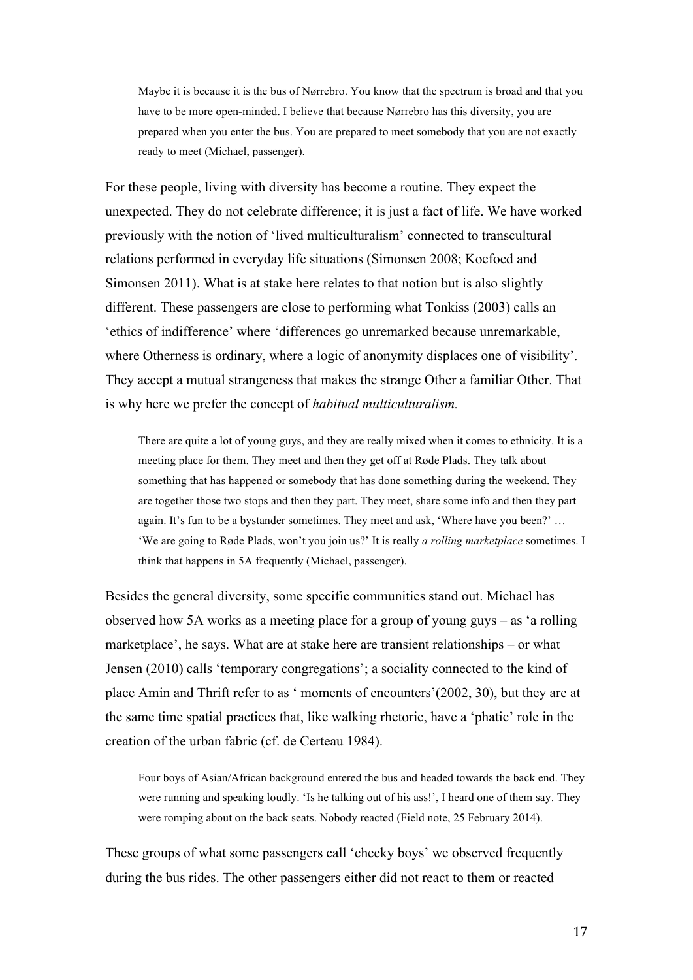Maybe it is because it is the bus of Nørrebro. You know that the spectrum is broad and that you have to be more open-minded. I believe that because Nørrebro has this diversity, you are prepared when you enter the bus. You are prepared to meet somebody that you are not exactly ready to meet (Michael, passenger).

For these people, living with diversity has become a routine. They expect the unexpected. They do not celebrate difference; it is just a fact of life. We have worked previously with the notion of 'lived multiculturalism' connected to transcultural relations performed in everyday life situations (Simonsen 2008; Koefoed and Simonsen 2011). What is at stake here relates to that notion but is also slightly different. These passengers are close to performing what Tonkiss (2003) calls an 'ethics of indifference' where 'differences go unremarked because unremarkable, where Otherness is ordinary, where a logic of anonymity displaces one of visibility'. They accept a mutual strangeness that makes the strange Other a familiar Other. That is why here we prefer the concept of *habitual multiculturalism.*

There are quite a lot of young guys, and they are really mixed when it comes to ethnicity. It is a meeting place for them. They meet and then they get off at Røde Plads. They talk about something that has happened or somebody that has done something during the weekend. They are together those two stops and then they part. They meet, share some info and then they part again. It's fun to be a bystander sometimes. They meet and ask, 'Where have you been?' … 'We are going to Røde Plads, won't you join us?' It is really *a rolling marketplace* sometimes. I think that happens in 5A frequently (Michael, passenger).

Besides the general diversity, some specific communities stand out. Michael has observed how 5A works as a meeting place for a group of young guys – as 'a rolling marketplace', he says. What are at stake here are transient relationships – or what Jensen (2010) calls 'temporary congregations'; a sociality connected to the kind of place Amin and Thrift refer to as ' moments of encounters'(2002, 30), but they are at the same time spatial practices that, like walking rhetoric, have a 'phatic' role in the creation of the urban fabric (cf. de Certeau 1984).

Four boys of Asian/African background entered the bus and headed towards the back end. They were running and speaking loudly. 'Is he talking out of his ass!', I heard one of them say. They were romping about on the back seats. Nobody reacted (Field note, 25 February 2014).

These groups of what some passengers call 'cheeky boys' we observed frequently during the bus rides. The other passengers either did not react to them or reacted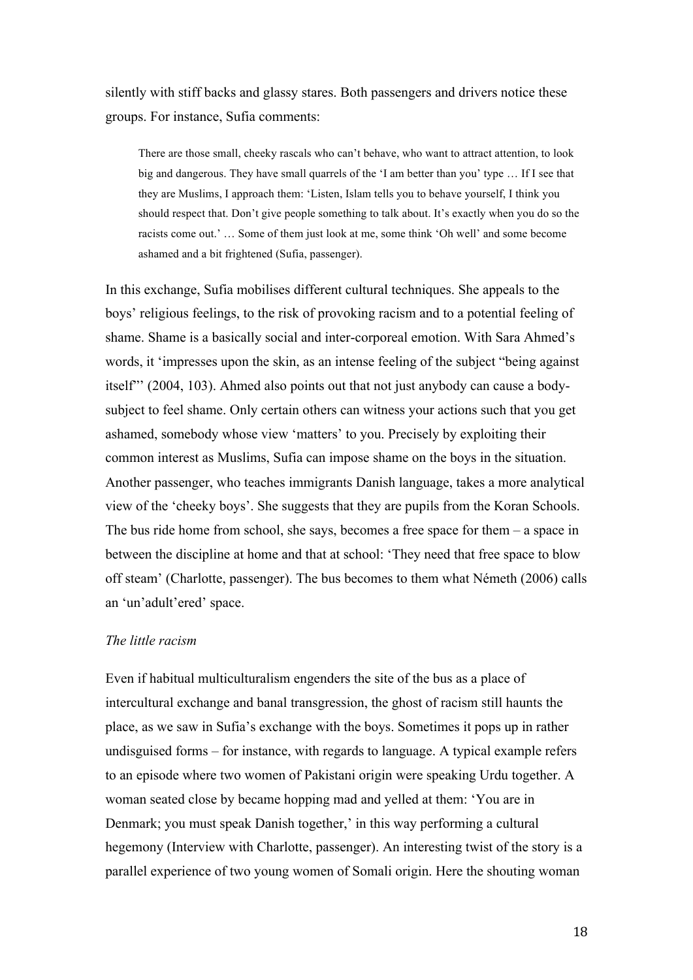silently with stiff backs and glassy stares. Both passengers and drivers notice these groups. For instance, Sufia comments:

There are those small, cheeky rascals who can't behave, who want to attract attention, to look big and dangerous. They have small quarrels of the 'I am better than you' type … If I see that they are Muslims, I approach them: 'Listen, Islam tells you to behave yourself, I think you should respect that. Don't give people something to talk about. It's exactly when you do so the racists come out.' … Some of them just look at me, some think 'Oh well' and some become ashamed and a bit frightened (Sufia, passenger).

In this exchange, Sufia mobilises different cultural techniques. She appeals to the boys' religious feelings, to the risk of provoking racism and to a potential feeling of shame. Shame is a basically social and inter-corporeal emotion. With Sara Ahmed's words, it 'impresses upon the skin, as an intense feeling of the subject "being against itself"' (2004, 103). Ahmed also points out that not just anybody can cause a bodysubject to feel shame. Only certain others can witness your actions such that you get ashamed, somebody whose view 'matters' to you. Precisely by exploiting their common interest as Muslims, Sufia can impose shame on the boys in the situation. Another passenger, who teaches immigrants Danish language, takes a more analytical view of the 'cheeky boys'. She suggests that they are pupils from the Koran Schools. The bus ride home from school, she says, becomes a free space for them – a space in between the discipline at home and that at school: 'They need that free space to blow off steam' (Charlotte, passenger). The bus becomes to them what Németh (2006) calls an 'un'adult'ered' space.

# *The little racism*

Even if habitual multiculturalism engenders the site of the bus as a place of intercultural exchange and banal transgression, the ghost of racism still haunts the place, as we saw in Sufia's exchange with the boys. Sometimes it pops up in rather undisguised forms – for instance, with regards to language. A typical example refers to an episode where two women of Pakistani origin were speaking Urdu together. A woman seated close by became hopping mad and yelled at them: 'You are in Denmark; you must speak Danish together,' in this way performing a cultural hegemony (Interview with Charlotte, passenger). An interesting twist of the story is a parallel experience of two young women of Somali origin. Here the shouting woman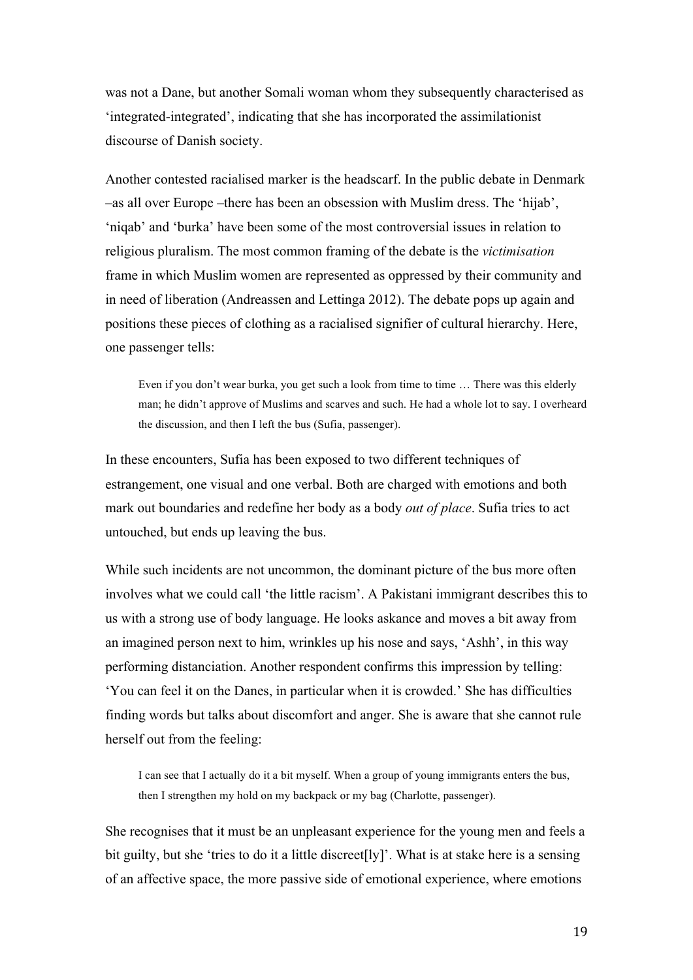was not a Dane, but another Somali woman whom they subsequently characterised as 'integrated-integrated', indicating that she has incorporated the assimilationist discourse of Danish society.

Another contested racialised marker is the headscarf. In the public debate in Denmark –as all over Europe –there has been an obsession with Muslim dress. The 'hijab', 'niqab' and 'burka' have been some of the most controversial issues in relation to religious pluralism. The most common framing of the debate is the *victimisation*  frame in which Muslim women are represented as oppressed by their community and in need of liberation (Andreassen and Lettinga 2012). The debate pops up again and positions these pieces of clothing as a racialised signifier of cultural hierarchy. Here, one passenger tells:

Even if you don't wear burka, you get such a look from time to time ... There was this elderly man; he didn't approve of Muslims and scarves and such. He had a whole lot to say. I overheard the discussion, and then I left the bus (Sufia, passenger).

In these encounters, Sufia has been exposed to two different techniques of estrangement, one visual and one verbal. Both are charged with emotions and both mark out boundaries and redefine her body as a body *out of place*. Sufia tries to act untouched, but ends up leaving the bus.

While such incidents are not uncommon, the dominant picture of the bus more often involves what we could call 'the little racism'. A Pakistani immigrant describes this to us with a strong use of body language. He looks askance and moves a bit away from an imagined person next to him, wrinkles up his nose and says, 'Ashh', in this way performing distanciation. Another respondent confirms this impression by telling: 'You can feel it on the Danes, in particular when it is crowded.' She has difficulties finding words but talks about discomfort and anger. She is aware that she cannot rule herself out from the feeling:

I can see that I actually do it a bit myself. When a group of young immigrants enters the bus, then I strengthen my hold on my backpack or my bag (Charlotte, passenger).

She recognises that it must be an unpleasant experience for the young men and feels a bit guilty, but she 'tries to do it a little discreet  $[1y]$ '. What is at stake here is a sensing of an affective space, the more passive side of emotional experience, where emotions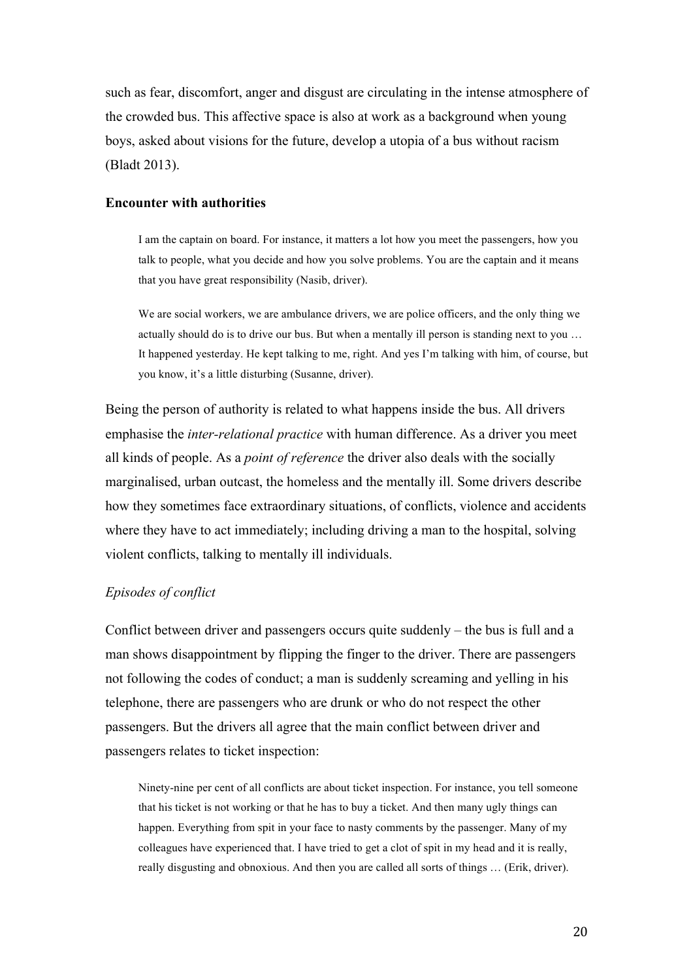such as fear, discomfort, anger and disgust are circulating in the intense atmosphere of the crowded bus. This affective space is also at work as a background when young boys, asked about visions for the future, develop a utopia of a bus without racism (Bladt 2013).

# **Encounter with authorities**

I am the captain on board. For instance, it matters a lot how you meet the passengers, how you talk to people, what you decide and how you solve problems. You are the captain and it means that you have great responsibility (Nasib, driver).

We are social workers, we are ambulance drivers, we are police officers, and the only thing we actually should do is to drive our bus. But when a mentally ill person is standing next to you … It happened yesterday. He kept talking to me, right. And yes I'm talking with him, of course, but you know, it's a little disturbing (Susanne, driver).

Being the person of authority is related to what happens inside the bus. All drivers emphasise the *inter-relational practice* with human difference. As a driver you meet all kinds of people. As a *point of reference* the driver also deals with the socially marginalised, urban outcast, the homeless and the mentally ill. Some drivers describe how they sometimes face extraordinary situations, of conflicts, violence and accidents where they have to act immediately; including driving a man to the hospital, solving violent conflicts, talking to mentally ill individuals.

# *Episodes of conflict*

Conflict between driver and passengers occurs quite suddenly – the bus is full and a man shows disappointment by flipping the finger to the driver. There are passengers not following the codes of conduct; a man is suddenly screaming and yelling in his telephone, there are passengers who are drunk or who do not respect the other passengers. But the drivers all agree that the main conflict between driver and passengers relates to ticket inspection:

Ninety-nine per cent of all conflicts are about ticket inspection. For instance, you tell someone that his ticket is not working or that he has to buy a ticket. And then many ugly things can happen. Everything from spit in your face to nasty comments by the passenger. Many of my colleagues have experienced that. I have tried to get a clot of spit in my head and it is really, really disgusting and obnoxious. And then you are called all sorts of things … (Erik, driver).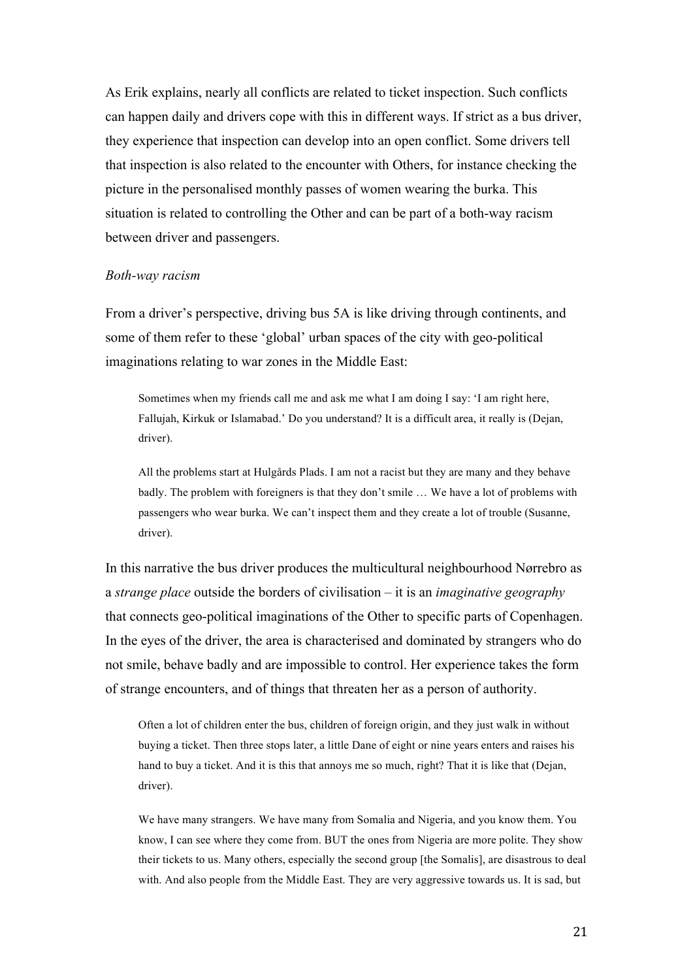As Erik explains, nearly all conflicts are related to ticket inspection. Such conflicts can happen daily and drivers cope with this in different ways. If strict as a bus driver, they experience that inspection can develop into an open conflict. Some drivers tell that inspection is also related to the encounter with Others, for instance checking the picture in the personalised monthly passes of women wearing the burka. This situation is related to controlling the Other and can be part of a both-way racism between driver and passengers.

### *Both-way racism*

From a driver's perspective, driving bus 5A is like driving through continents, and some of them refer to these 'global' urban spaces of the city with geo-political imaginations relating to war zones in the Middle East:

Sometimes when my friends call me and ask me what I am doing I say: 'I am right here, Fallujah, Kirkuk or Islamabad.' Do you understand? It is a difficult area, it really is (Dejan, driver).

All the problems start at Hulgårds Plads. I am not a racist but they are many and they behave badly. The problem with foreigners is that they don't smile … We have a lot of problems with passengers who wear burka. We can't inspect them and they create a lot of trouble (Susanne, driver).

In this narrative the bus driver produces the multicultural neighbourhood Nørrebro as a *strange place* outside the borders of civilisation – it is an *imaginative geography* that connects geo-political imaginations of the Other to specific parts of Copenhagen. In the eyes of the driver, the area is characterised and dominated by strangers who do not smile, behave badly and are impossible to control. Her experience takes the form of strange encounters, and of things that threaten her as a person of authority.

Often a lot of children enter the bus, children of foreign origin, and they just walk in without buying a ticket. Then three stops later, a little Dane of eight or nine years enters and raises his hand to buy a ticket. And it is this that annoys me so much, right? That it is like that (Dejan, driver).

We have many strangers. We have many from Somalia and Nigeria, and you know them. You know, I can see where they come from. BUT the ones from Nigeria are more polite. They show their tickets to us. Many others, especially the second group [the Somalis], are disastrous to deal with. And also people from the Middle East. They are very aggressive towards us. It is sad, but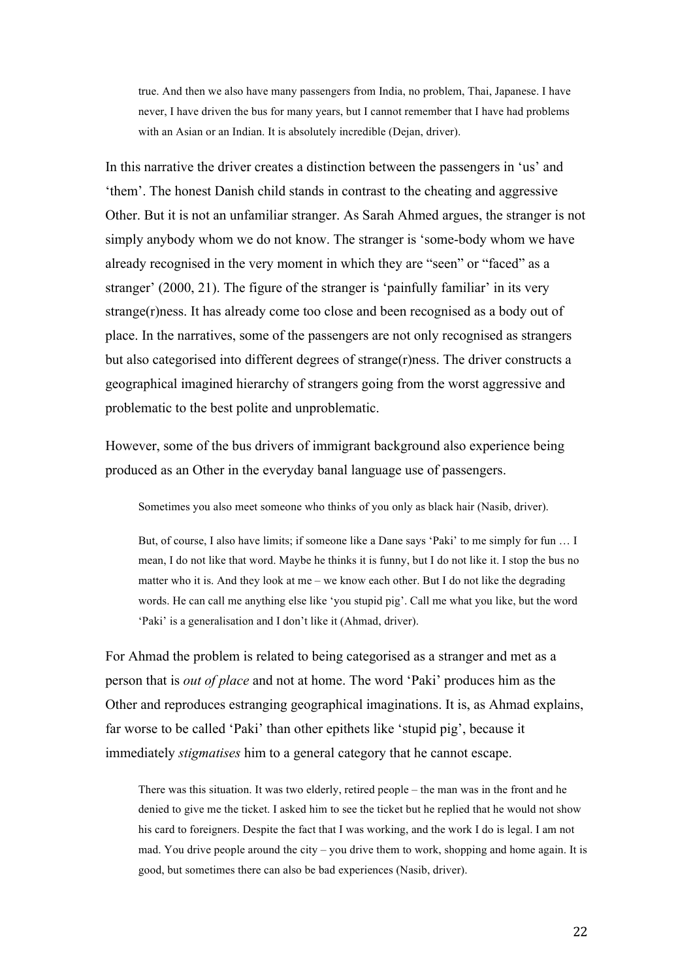true. And then we also have many passengers from India, no problem, Thai, Japanese. I have never, I have driven the bus for many years, but I cannot remember that I have had problems with an Asian or an Indian. It is absolutely incredible (Dejan, driver).

In this narrative the driver creates a distinction between the passengers in 'us' and 'them'. The honest Danish child stands in contrast to the cheating and aggressive Other. But it is not an unfamiliar stranger. As Sarah Ahmed argues, the stranger is not simply anybody whom we do not know. The stranger is 'some-body whom we have already recognised in the very moment in which they are "seen" or "faced" as a stranger' (2000, 21). The figure of the stranger is 'painfully familiar' in its very strange(r)ness. It has already come too close and been recognised as a body out of place. In the narratives, some of the passengers are not only recognised as strangers but also categorised into different degrees of strange(r)ness. The driver constructs a geographical imagined hierarchy of strangers going from the worst aggressive and problematic to the best polite and unproblematic.

However, some of the bus drivers of immigrant background also experience being produced as an Other in the everyday banal language use of passengers.

Sometimes you also meet someone who thinks of you only as black hair (Nasib, driver).

But, of course, I also have limits; if someone like a Dane says 'Paki' to me simply for fun … I mean, I do not like that word. Maybe he thinks it is funny, but I do not like it. I stop the bus no matter who it is. And they look at me – we know each other. But I do not like the degrading words. He can call me anything else like 'you stupid pig'. Call me what you like, but the word 'Paki' is a generalisation and I don't like it (Ahmad, driver).

For Ahmad the problem is related to being categorised as a stranger and met as a person that is *out of place* and not at home. The word 'Paki' produces him as the Other and reproduces estranging geographical imaginations. It is, as Ahmad explains, far worse to be called 'Paki' than other epithets like 'stupid pig', because it immediately *stigmatises* him to a general category that he cannot escape.

There was this situation. It was two elderly, retired people – the man was in the front and he denied to give me the ticket. I asked him to see the ticket but he replied that he would not show his card to foreigners. Despite the fact that I was working, and the work I do is legal. I am not mad. You drive people around the city – you drive them to work, shopping and home again. It is good, but sometimes there can also be bad experiences (Nasib, driver).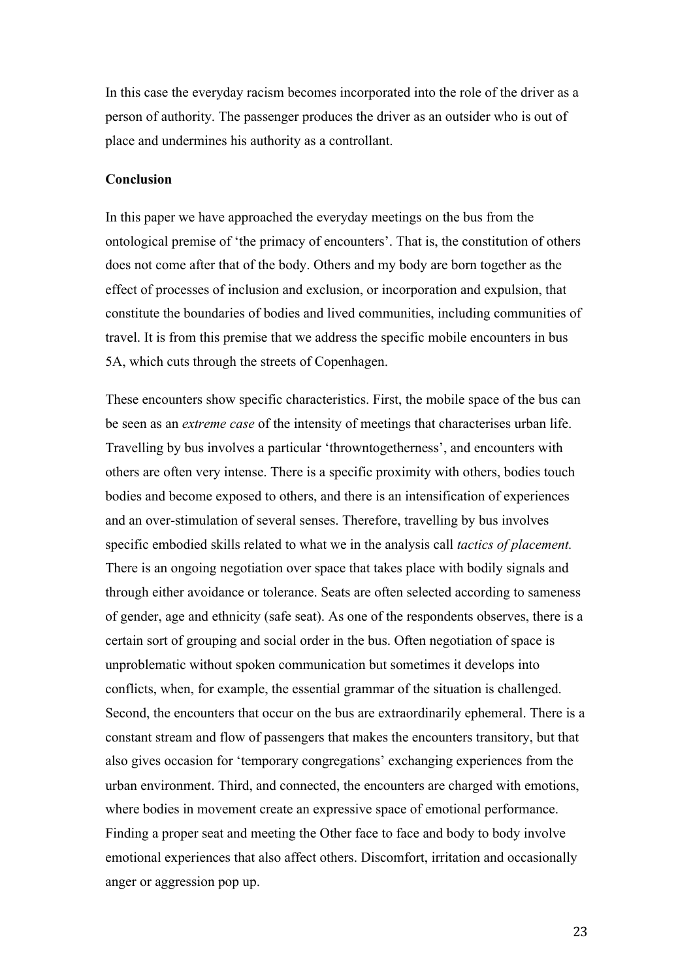In this case the everyday racism becomes incorporated into the role of the driver as a person of authority. The passenger produces the driver as an outsider who is out of place and undermines his authority as a controllant.

# **Conclusion**

In this paper we have approached the everyday meetings on the bus from the ontological premise of 'the primacy of encounters'. That is, the constitution of others does not come after that of the body. Others and my body are born together as the effect of processes of inclusion and exclusion, or incorporation and expulsion, that constitute the boundaries of bodies and lived communities, including communities of travel. It is from this premise that we address the specific mobile encounters in bus 5A, which cuts through the streets of Copenhagen.

These encounters show specific characteristics. First, the mobile space of the bus can be seen as an *extreme case* of the intensity of meetings that characterises urban life. Travelling by bus involves a particular 'throwntogetherness', and encounters with others are often very intense. There is a specific proximity with others, bodies touch bodies and become exposed to others, and there is an intensification of experiences and an over-stimulation of several senses. Therefore, travelling by bus involves specific embodied skills related to what we in the analysis call *tactics of placement.* There is an ongoing negotiation over space that takes place with bodily signals and through either avoidance or tolerance. Seats are often selected according to sameness of gender, age and ethnicity (safe seat). As one of the respondents observes, there is a certain sort of grouping and social order in the bus. Often negotiation of space is unproblematic without spoken communication but sometimes it develops into conflicts, when, for example, the essential grammar of the situation is challenged. Second, the encounters that occur on the bus are extraordinarily ephemeral. There is a constant stream and flow of passengers that makes the encounters transitory, but that also gives occasion for 'temporary congregations' exchanging experiences from the urban environment. Third, and connected, the encounters are charged with emotions, where bodies in movement create an expressive space of emotional performance. Finding a proper seat and meeting the Other face to face and body to body involve emotional experiences that also affect others. Discomfort, irritation and occasionally anger or aggression pop up.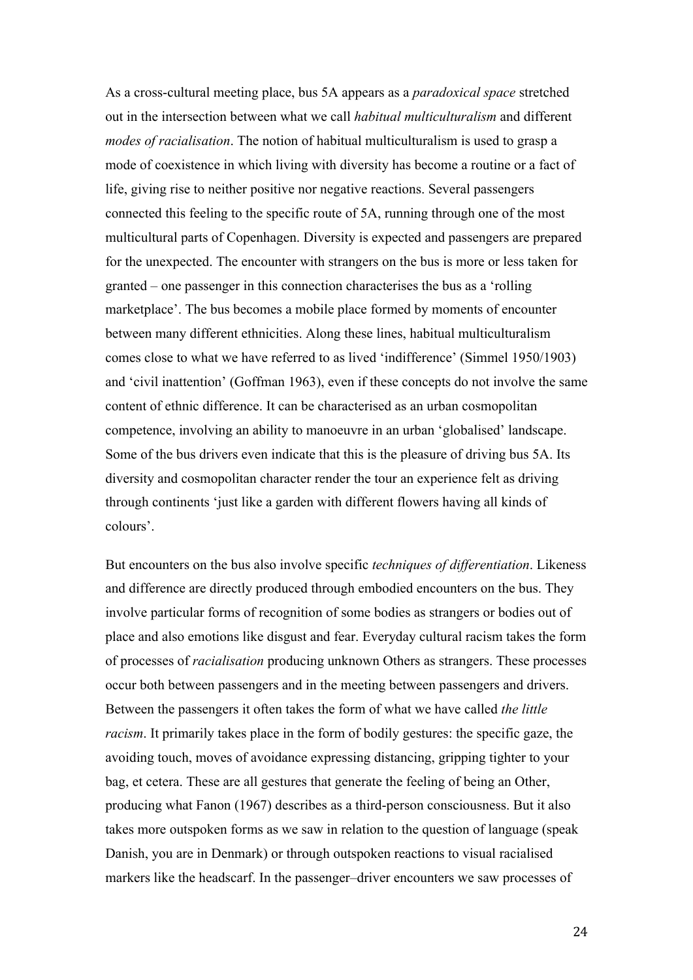As a cross-cultural meeting place, bus 5A appears as a *paradoxical space* stretched out in the intersection between what we call *habitual multiculturalism* and different *modes of racialisation*. The notion of habitual multiculturalism is used to grasp a mode of coexistence in which living with diversity has become a routine or a fact of life, giving rise to neither positive nor negative reactions. Several passengers connected this feeling to the specific route of 5A, running through one of the most multicultural parts of Copenhagen. Diversity is expected and passengers are prepared for the unexpected. The encounter with strangers on the bus is more or less taken for granted – one passenger in this connection characterises the bus as a 'rolling marketplace'. The bus becomes a mobile place formed by moments of encounter between many different ethnicities. Along these lines, habitual multiculturalism comes close to what we have referred to as lived 'indifference' (Simmel 1950/1903) and 'civil inattention' (Goffman 1963), even if these concepts do not involve the same content of ethnic difference. It can be characterised as an urban cosmopolitan competence, involving an ability to manoeuvre in an urban 'globalised' landscape. Some of the bus drivers even indicate that this is the pleasure of driving bus 5A. Its diversity and cosmopolitan character render the tour an experience felt as driving through continents 'just like a garden with different flowers having all kinds of colours'.

But encounters on the bus also involve specific *techniques of differentiation*. Likeness and difference are directly produced through embodied encounters on the bus. They involve particular forms of recognition of some bodies as strangers or bodies out of place and also emotions like disgust and fear. Everyday cultural racism takes the form of processes of *racialisation* producing unknown Others as strangers. These processes occur both between passengers and in the meeting between passengers and drivers. Between the passengers it often takes the form of what we have called *the little racism*. It primarily takes place in the form of bodily gestures: the specific gaze, the avoiding touch, moves of avoidance expressing distancing, gripping tighter to your bag, et cetera. These are all gestures that generate the feeling of being an Other, producing what Fanon (1967) describes as a third-person consciousness. But it also takes more outspoken forms as we saw in relation to the question of language (speak Danish, you are in Denmark) or through outspoken reactions to visual racialised markers like the headscarf. In the passenger–driver encounters we saw processes of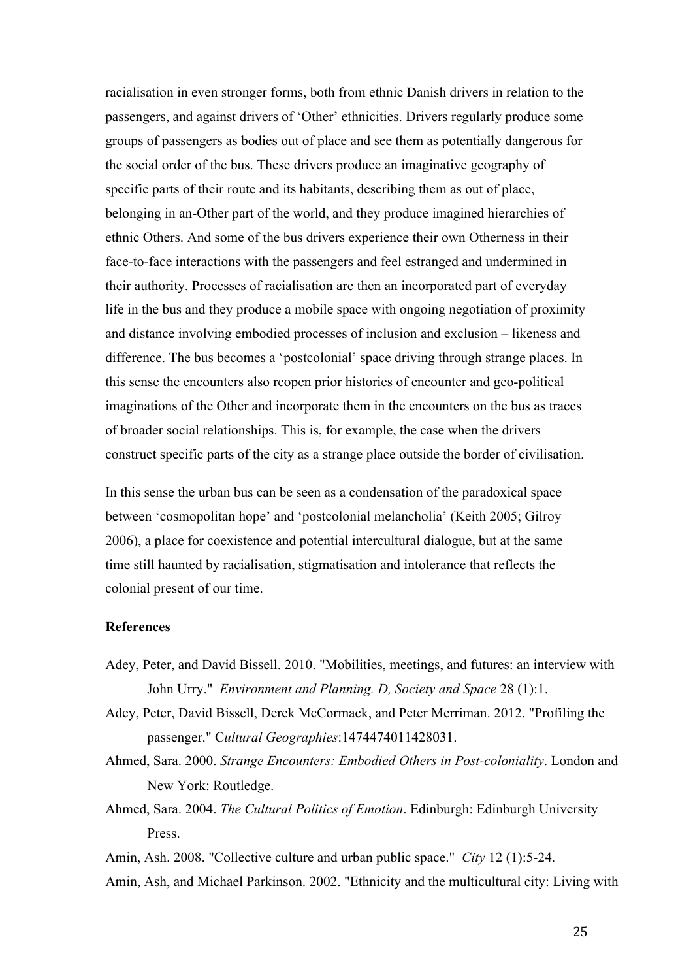racialisation in even stronger forms, both from ethnic Danish drivers in relation to the passengers, and against drivers of 'Other' ethnicities. Drivers regularly produce some groups of passengers as bodies out of place and see them as potentially dangerous for the social order of the bus. These drivers produce an imaginative geography of specific parts of their route and its habitants, describing them as out of place, belonging in an-Other part of the world, and they produce imagined hierarchies of ethnic Others. And some of the bus drivers experience their own Otherness in their face-to-face interactions with the passengers and feel estranged and undermined in their authority. Processes of racialisation are then an incorporated part of everyday life in the bus and they produce a mobile space with ongoing negotiation of proximity and distance involving embodied processes of inclusion and exclusion – likeness and difference. The bus becomes a 'postcolonial' space driving through strange places. In this sense the encounters also reopen prior histories of encounter and geo-political imaginations of the Other and incorporate them in the encounters on the bus as traces of broader social relationships. This is, for example, the case when the drivers construct specific parts of the city as a strange place outside the border of civilisation.

In this sense the urban bus can be seen as a condensation of the paradoxical space between 'cosmopolitan hope' and 'postcolonial melancholia' (Keith 2005; Gilroy 2006), a place for coexistence and potential intercultural dialogue, but at the same time still haunted by racialisation, stigmatisation and intolerance that reflects the colonial present of our time.

# **References**

- Adey, Peter, and David Bissell. 2010. "Mobilities, meetings, and futures: an interview with John Urry." *Environment and Planning. D, Society and Space* 28 (1):1.
- Adey, Peter, David Bissell, Derek McCormack, and Peter Merriman. 2012. "Profiling the passenger." C*ultural Geographies*:1474474011428031.
- Ahmed, Sara. 2000. *Strange Encounters: Embodied Others in Post-coloniality*. London and New York: Routledge.
- Ahmed, Sara. 2004. *The Cultural Politics of Emotion*. Edinburgh: Edinburgh University Press.
- Amin, Ash. 2008. "Collective culture and urban public space." *City* 12 (1):5-24.
- Amin, Ash, and Michael Parkinson. 2002. "Ethnicity and the multicultural city: Living with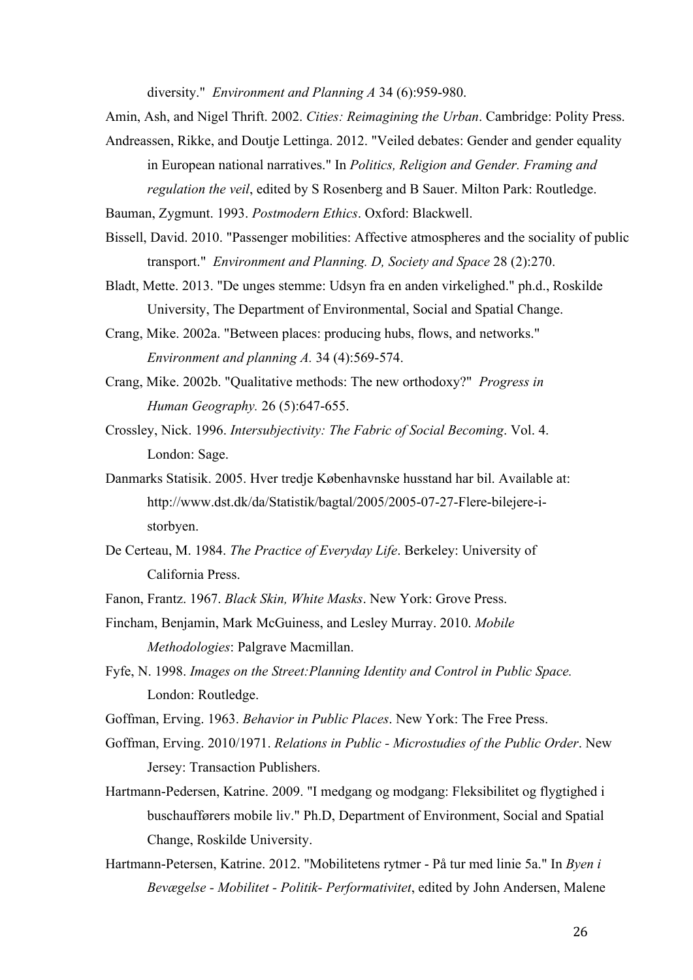diversity." *Environment and Planning A* 34 (6):959-980.

- Amin, Ash, and Nigel Thrift. 2002. *Cities: Reimagining the Urban*. Cambridge: Polity Press.
- Andreassen, Rikke, and Doutje Lettinga. 2012. "Veiled debates: Gender and gender equality in European national narratives." In *Politics, Religion and Gender. Framing and regulation the veil*, edited by S Rosenberg and B Sauer. Milton Park: Routledge.
- Bauman, Zygmunt. 1993. *Postmodern Ethics*. Oxford: Blackwell.
- Bissell, David. 2010. "Passenger mobilities: Affective atmospheres and the sociality of public transport." *Environment and Planning. D, Society and Space* 28 (2):270.
- Bladt, Mette. 2013. "De unges stemme: Udsyn fra en anden virkelighed." ph.d., Roskilde University, The Department of Environmental, Social and Spatial Change.
- Crang, Mike. 2002a. "Between places: producing hubs, flows, and networks." *Environment and planning A.* 34 (4):569-574.
- Crang, Mike. 2002b. "Qualitative methods: The new orthodoxy?" *Progress in Human Geography.* 26 (5):647-655.
- Crossley, Nick. 1996. *Intersubjectivity: The Fabric of Social Becoming*. Vol. 4. London: Sage.
- Danmarks Statisik. 2005. Hver tredje Københavnske husstand har bil. Available at: http://www.dst.dk/da/Statistik/bagtal/2005/2005-07-27-Flere-bilejere-istorbyen.
- De Certeau, M. 1984. *The Practice of Everyday Life*. Berkeley: University of California Press.
- Fanon, Frantz. 1967. *Black Skin, White Masks*. New York: Grove Press.
- Fincham, Benjamin, Mark McGuiness, and Lesley Murray. 2010. *Mobile Methodologies*: Palgrave Macmillan.
- Fyfe, N. 1998. *Images on the Street:Planning Identity and Control in Public Space.* London: Routledge.
- Goffman, Erving. 1963. *Behavior in Public Places*. New York: The Free Press.
- Goffman, Erving. 2010/1971. *Relations in Public - Microstudies of the Public Order*. New Jersey: Transaction Publishers.
- Hartmann-Pedersen, Katrine. 2009. "I medgang og modgang: Fleksibilitet og flygtighed i buschaufførers mobile liv." Ph.D, Department of Environment, Social and Spatial Change, Roskilde University.
- Hartmann-Petersen, Katrine. 2012. "Mobilitetens rytmer På tur med linie 5a." In *Byen i Bevægelse - Mobilitet - Politik- Performativitet*, edited by John Andersen, Malene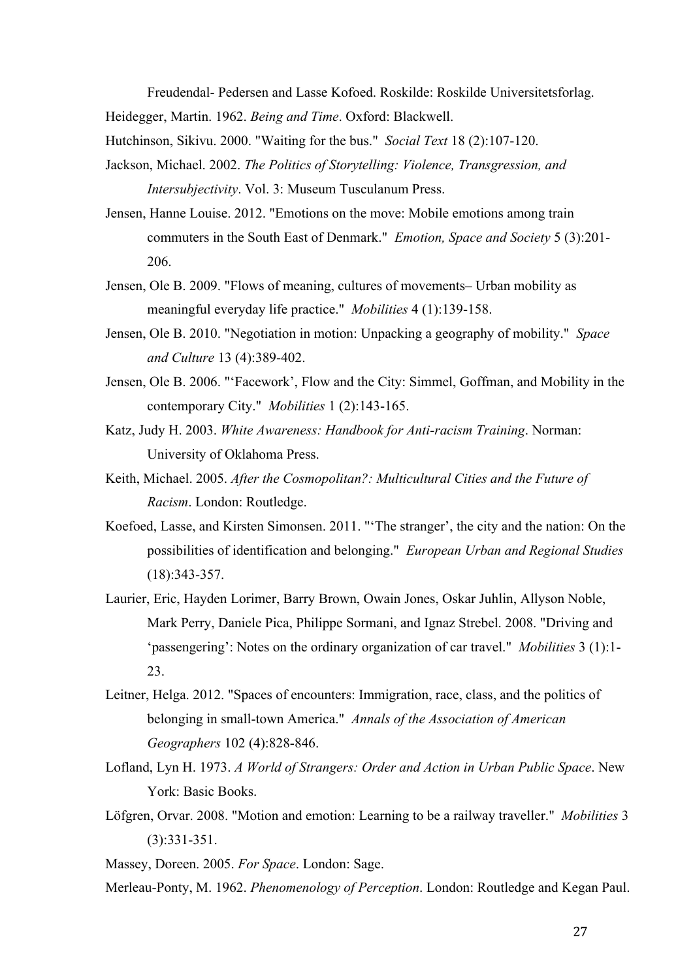Freudendal- Pedersen and Lasse Kofoed. Roskilde: Roskilde Universitetsforlag. Heidegger, Martin. 1962. *Being and Time*. Oxford: Blackwell.

Hutchinson, Sikivu. 2000. "Waiting for the bus." *Social Text* 18 (2):107-120.

- Jackson, Michael. 2002. *The Politics of Storytelling: Violence, Transgression, and Intersubjectivity*. Vol. 3: Museum Tusculanum Press.
- Jensen, Hanne Louise. 2012. "Emotions on the move: Mobile emotions among train commuters in the South East of Denmark." *Emotion, Space and Society* 5 (3):201- 206.
- Jensen, Ole B. 2009. "Flows of meaning, cultures of movements– Urban mobility as meaningful everyday life practice." *Mobilities* 4 (1):139-158.
- Jensen, Ole B. 2010. "Negotiation in motion: Unpacking a geography of mobility." *Space and Culture* 13 (4):389-402.
- Jensen, Ole B. 2006. "'Facework', Flow and the City: Simmel, Goffman, and Mobility in the contemporary City." *Mobilities* 1 (2):143-165.
- Katz, Judy H. 2003. *White Awareness: Handbook for Anti-racism Training*. Norman: University of Oklahoma Press.
- Keith, Michael. 2005. *After the Cosmopolitan?: Multicultural Cities and the Future of Racism*. London: Routledge.
- Koefoed, Lasse, and Kirsten Simonsen. 2011. "'The stranger', the city and the nation: On the possibilities of identification and belonging." *European Urban and Regional Studies* (18):343-357.
- Laurier, Eric, Hayden Lorimer, Barry Brown, Owain Jones, Oskar Juhlin, Allyson Noble, Mark Perry, Daniele Pica, Philippe Sormani, and Ignaz Strebel. 2008. "Driving and 'passengering': Notes on the ordinary organization of car travel." *Mobilities* 3 (1):1- 23.
- Leitner, Helga. 2012. "Spaces of encounters: Immigration, race, class, and the politics of belonging in small-town America." *Annals of the Association of American Geographers* 102 (4):828-846.
- Lofland, Lyn H. 1973. *A World of Strangers: Order and Action in Urban Public Space*. New York: Basic Books.
- Löfgren, Orvar. 2008. "Motion and emotion: Learning to be a railway traveller." *Mobilities* 3 (3):331-351.

Massey, Doreen. 2005. *For Space*. London: Sage.

Merleau-Ponty, M. 1962. *Phenomenology of Perception*. London: Routledge and Kegan Paul.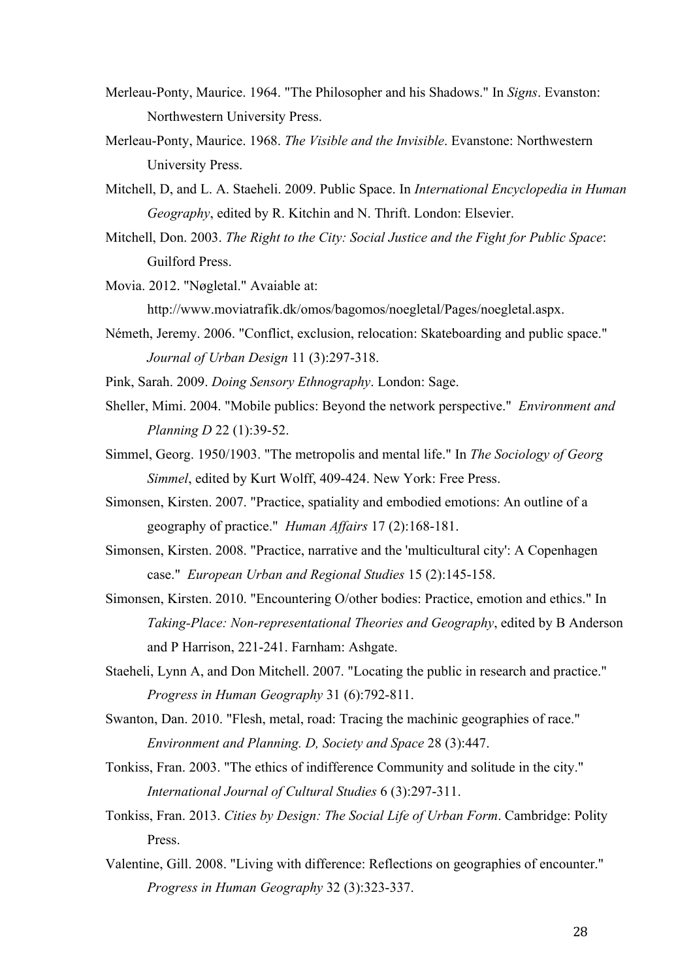- Merleau-Ponty, Maurice. 1964. "The Philosopher and his Shadows." In *Signs*. Evanston: Northwestern University Press.
- Merleau-Ponty, Maurice. 1968. *The Visible and the Invisible*. Evanstone: Northwestern University Press.
- Mitchell, D, and L. A. Staeheli. 2009. Public Space. In *International Encyclopedia in Human Geography*, edited by R. Kitchin and N. Thrift. London: Elsevier.
- Mitchell, Don. 2003. *The Right to the City: Social Justice and the Fight for Public Space*: Guilford Press.

Movia. 2012. "Nøgletal." Avaiable at:

http://www.moviatrafik.dk/omos/bagomos/noegletal/Pages/noegletal.aspx.

Németh, Jeremy. 2006. "Conflict, exclusion, relocation: Skateboarding and public space." *Journal of Urban Design* 11 (3):297-318.

Pink, Sarah. 2009. *Doing Sensory Ethnography*. London: Sage.

- Sheller, Mimi. 2004. "Mobile publics: Beyond the network perspective." *Environment and Planning D* 22 (1):39-52.
- Simmel, Georg. 1950/1903. "The metropolis and mental life." In *The Sociology of Georg Simmel*, edited by Kurt Wolff, 409-424. New York: Free Press.
- Simonsen, Kirsten. 2007. "Practice, spatiality and embodied emotions: An outline of a geography of practice." *Human Affairs* 17 (2):168-181.
- Simonsen, Kirsten. 2008. "Practice, narrative and the 'multicultural city': A Copenhagen case." *European Urban and Regional Studies* 15 (2):145-158.
- Simonsen, Kirsten. 2010. "Encountering O/other bodies: Practice, emotion and ethics." In *Taking-Place: Non-representational Theories and Geography*, edited by B Anderson and P Harrison, 221-241. Farnham: Ashgate.
- Staeheli, Lynn A, and Don Mitchell. 2007. "Locating the public in research and practice." *Progress in Human Geography* 31 (6):792-811.
- Swanton, Dan. 2010. "Flesh, metal, road: Tracing the machinic geographies of race." *Environment and Planning. D, Society and Space* 28 (3):447.
- Tonkiss, Fran. 2003. "The ethics of indifference Community and solitude in the city." *International Journal of Cultural Studies* 6 (3):297-311.
- Tonkiss, Fran. 2013. *Cities by Design: The Social Life of Urban Form*. Cambridge: Polity Press.
- Valentine, Gill. 2008. "Living with difference: Reflections on geographies of encounter." *Progress in Human Geography* 32 (3):323-337.